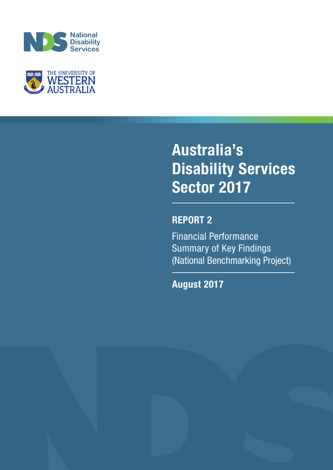



# **Australia's Disability Services Sector 2017**

## **REPORT 2**

Financial Performance Summary of Key Findings (National Benchmarking Project)

**August 2017**

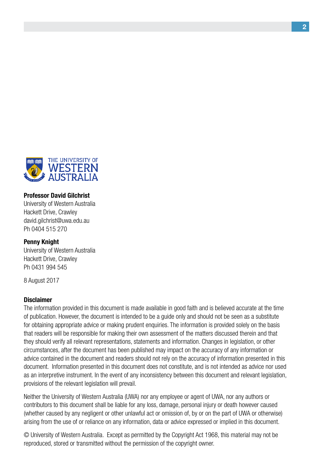

#### **Professor David Gilchrist**

University of Western Australia Hackett Drive, Crawley david.gilchrist@uwa.edu.au Ph 0404 515 270

#### **Penny Knight**

University of Western Australia Hackett Drive, Crawley Ph 0431 994 545

8 August 2017

#### **Disclaimer**

The information provided in this document is made available in good faith and is believed accurate at the time of publication. However, the document is intended to be a guide only and should not be seen as a substitute for obtaining appropriate advice or making prudent enquiries. The information is provided solely on the basis that readers will be responsible for making their own assessment of the matters discussed therein and that they should verify all relevant representations, statements and information. Changes in legislation, or other circumstances, after the document has been published may impact on the accuracy of any information or advice contained in the document and readers should not rely on the accuracy of information presented in this document. Information presented in this document does not constitute, and is not intended as advice nor used as an interpretive instrument. In the event of any inconsistency between this document and relevant legislation, provisions of the relevant legislation will prevail.

Neither the University of Western Australia (UWA) nor any employee or agent of UWA, nor any authors or contributors to this document shall be liable for any loss, damage, personal injury or death however caused (whether caused by any negligent or other unlawful act or omission of, by or on the part of UWA or otherwise) arising from the use of or reliance on any information, data or advice expressed or implied in this document.

© University of Western Australia. Except as permitted by the Copyright Act 1968, this material may not be reproduced, stored or transmitted without the permission of the copyright owner.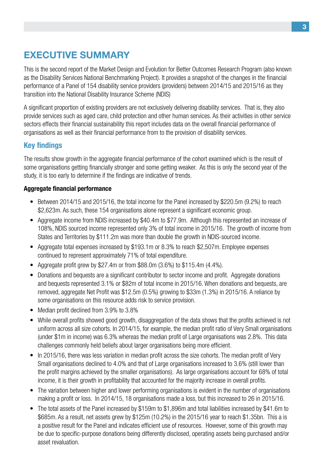## **Executive Summary**

This is the second report of the Market Design and Evolution for Better Outcomes Research Program (also known as the Disability Services National Benchmarking Project). It provides a snapshot of the changes in the financial performance of a Panel of 154 disability service providers (providers) between 2014/15 and 2015/16 as they transition into the National Disability Insurance Scheme (NDIS)

A significant proportion of existing providers are not exclusively delivering disability services. That is, they also provide services such as aged care, child protection and other human services. As their activities in other service sectors effects their financial sustainability this report includes data on the overall financial performance of organisations as well as their financial performance from to the provision of disability services.

## **Key findings**

The results show growth in the aggregate financial performance of the cohort examined which is the result of some organisations getting financially stronger and some getting weaker. As this is only the second year of the study, it is too early to determine if the findings are indicative of trends.

#### **Aggregate financial performance**

- Between 2014/15 and 2015/16, the total income for the Panel increased by \$220.5m (9.2%) to reach \$2,623m. As such, these 154 organisations alone represent a significant economic group.
- Aggregate income from NDIS increased by \$40.4m to \$77.9m. Although this represented an increase of 108%, NDIS sourced income represented only 3% of total income in 2015/16. The growth of income from States and Territories by \$111.2m was more than double the growth in NDIS-sourced income.
- Aggregate total expenses increased by \$193.1m or 8.3% to reach \$2,507m. Employee expenses continued to represent approximately 71% of total expenditure.
- Aggregate profit grew by \$27.4m or from \$88.0m  $(3.6\%)$  to \$115.4m  $(4.4\%)$ .
- Donations and bequests are a significant contributor to sector income and profit. Aggregate donations and bequests represented 3.1% or \$82m of total income in 2015/16. When donations and bequests, are removed, aggregate Net Profit was \$12.5m (0.5%) growing to \$33m (1.3%) in 2015/16. A reliance by some organisations on this resource adds risk to service provision.
- Median profit declined from 3.9% to 3.8%
- While overall profits showed good growth, disaggregation of the data shows that the profits achieved is not uniform across all size cohorts. In 2014/15, for example, the median profit ratio of Very Small organisations (under \$1m in income) was 6.3% whereas the median profit of Large organisations was 2.8%. This data challenges commonly held beliefs about larger organisations being more efficient.
- In 2015/16, there was less variation in median profit across the size cohorts. The median profit of Very Small organisations declined to 4.0% and that of Large organisations increased to 3.6% (still lower than the profit margins achieved by the smaller organisations). As large organisations account for 68% of total income, it is their growth in profitability that accounted for the majority increase in overall profits.
- The variation between higher and lower performing organisations is evident in the number of organisations making a profit or loss. In 2014/15, 18 organisations made a loss, but this increased to 26 in 2015/16.
- The total assets of the Panel increased by \$159m to \$1,896m and total liabilities increased by \$41.6m to \$685m. As a result, net assets grew by \$125m (10.2%) in the 2015/16 year to reach \$1.35bn. This a is a positive result for the Panel and indicates efficient use of resources. However, some of this growth may be due to specific-purpose donations being differently disclosed, operating assets being purchased and/or asset revaluation.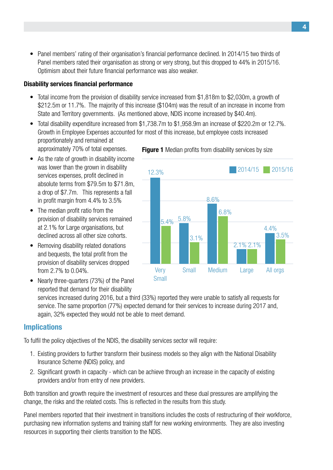Panel members' rating of their organisation's financial performance declined. In 2014/15 two thirds of Panel members rated their organisation as strong or very strong, but this dropped to 44% in 2015/16. Optimism about their future financial performance was also weaker.

#### **Disability services financial performance**

- Total income from the provision of disability service increased from \$1,818m to \$2,030m, a growth of \$212.5m or 11.7%. The majority of this increase (\$104m) was the result of an increase in income from State and Territory governments. (As mentioned above, NDIS income increased by \$40.4m).
- Total disability expenditure increased from \$1,738.7m to \$1,958.9m an increase of \$220.2m or 12.7%. Growth in Employee Expenses accounted for most of this increase, but employee costs increased proportionately and remained at approximately 70% of total expenses. **Figure 1** Median profits from disability services by size
- As the rate of growth in disability income was lower than the grown in disability services expenses, profit declined in absolute terms from \$79.5m to \$71.8m, a drop of \$7.7m. This represents a fall in profit margin from 4.4% to 3.5%
- The median profit ratio from the provision of disability services remained at 2.1% for Large organisations, but declined across all other size cohorts.
- Removing disability related donations and bequests, the total profit from the provision of disability services dropped from 2.7% to 0.04%.



reported that demand for their disability



services increased during 2016, but a third (33%) reported they were unable to satisfy all requests for service. The same proportion (77%) expected demand for their services to increase during 2017 and, again, 32% expected they would not be able to meet demand.

### **Implications**

To fulfil the policy objectives of the NDIS, the disability services sector will require:

- 1. Existing providers to further transform their business models so they align with the National Disability Insurance Scheme (NDIS) policy, and
- 2. Significant growth in capacity which can be achieve through an increase in the capacity of existing providers and/or from entry of new providers.

Both transition and growth require the investment of resources and these dual pressures are amplifying the change, the risks and the related costs. This is reflected in the results from this study.

Panel members reported that their investment in transitions includes the costs of restructuring of their workforce, purchasing new information systems and training staff for new working environments. They are also investing resources in supporting their clients transition to the NDIS.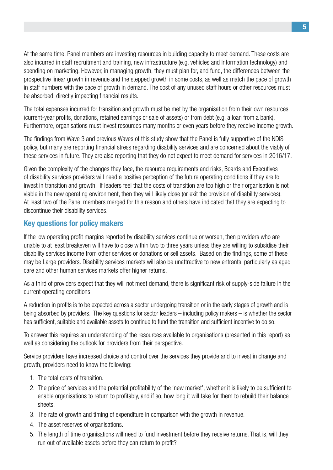At the same time, Panel members are investing resources in building capacity to meet demand. These costs are also incurred in staff recruitment and training, new infrastructure (e.g. vehicles and Information technology) and spending on marketing. However, in managing growth, they must plan for, and fund, the differences between the prospective linear growth in revenue and the stepped growth in some costs, as well as match the pace of growth in staff numbers with the pace of growth in demand. The cost of any unused staff hours or other resources must be absorbed, directly impacting financial results.

The total expenses incurred for transition and growth must be met by the organisation from their own resources (current-year profits, donations, retained earnings or sale of assets) or from debt (e.g. a loan from a bank). Furthermore, organisations must invest resources many months or even years before they receive income growth.

The findings from Wave 3 and previous Waves of this study show that the Panel is fully supportive of the NDIS policy, but many are reporting financial stress regarding disability services and are concerned about the viably of these services in future. They are also reporting that they do not expect to meet demand for services in 2016/17.

Given the complexity of the changes they face, the resource requirements and risks, Boards and Executives of disability services providers will need a positive perception of the future operating conditions if they are to invest in transition and growth. If leaders feel that the costs of transition are too high or their organisation is not viable in the new operating environment, then they will likely close (or exit the provision of disability services). At least two of the Panel members merged for this reason and others have indicated that they are expecting to discontinue their disability services.

### **Key questions for policy makers**

If the low operating profit margins reported by disability services continue or worsen, then providers who are unable to at least breakeven will have to close within two to three years unless they are willing to subsidise their disability services income from other services or donations or sell assets. Based on the findings, some of these may be Large providers. Disability services markets will also be unattractive to new entrants, particularly as aged care and other human services markets offer higher returns.

As a third of providers expect that they will not meet demand, there is significant risk of supply-side failure in the current operating conditions.

A reduction in profits is to be expected across a sector undergoing transition or in the early stages of growth and is being absorbed by providers. The key questions for sector leaders – including policy makers – is whether the sector has sufficient, suitable and available assets to continue to fund the transition and sufficient incentive to do so.

To answer this requires an understanding of the resources available to organisations (presented in this report) as well as considering the outlook for providers from their perspective.

Service providers have increased choice and control over the services they provide and to invest in change and growth, providers need to know the following:

- 1. The total costs of transition.
- 2. The price of services and the potential profitability of the 'new market', whether it is likely to be sufficient to enable organisations to return to profitably, and if so, how long it will take for them to rebuild their balance sheets.
- 3. The rate of growth and timing of expenditure in comparison with the growth in revenue.
- 4. The asset reserves of organisations.
- 5. The length of time organisations will need to fund investment before they receive returns. That is, will they run out of available assets before they can return to profit?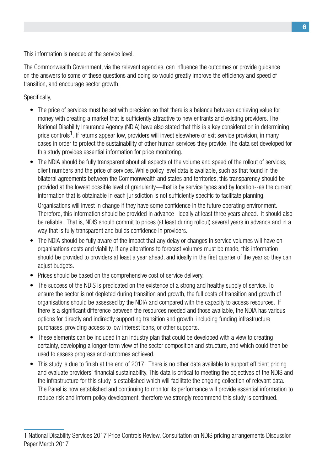This information is needed at the service level.

The Commonwealth Government, via the relevant agencies, can influence the outcomes or provide guidance on the answers to some of these questions and doing so would greatly improve the efficiency and speed of transition, and encourage sector growth.

Specifically,

- The price of services must be set with precision so that there is a balance between achieving value for money with creating a market that is sufficiently attractive to new entrants and existing providers. The National Disability Insurance Agency (NDIA) have also stated that this is a key consideration in determining price controls<sup>1</sup>. If returns appear low, providers will invest elsewhere or exit service provision, in many cases in order to protect the sustainability of other human services they provide. The data set developed for this study provides essential information for price monitoring.
- The NDIA should be fully transparent about all aspects of the volume and speed of the rollout of services, client numbers and the price of services. While policy level data is available, such as that found in the bilateral agreements between the Commonwealth and states and territories, this transparency should be provided at the lowest possible level of granularity—that is by service types and by location--as the current information that is obtainable in each jurisdiction is not sufficiently specific to facilitate planning.

Organisations will invest in change if they have some confidence in the future operating environment. Therefore, this information should be provided in advance--ideally at least three years ahead. It should also be reliable. That is, NDIS should commit to prices (at least during rollout) several years in advance and in a way that is fully transparent and builds confidence in providers.

- The NDIA should be fully aware of the impact that any delay or changes in service volumes will have on organisations costs and viability. If any alterations to forecast volumes must be made, this information should be provided to providers at least a year ahead, and ideally in the first quarter of the year so they can adiust budgets.
- Prices should be based on the comprehensive cost of service delivery.
- The success of the NDIS is predicated on the existence of a strong and healthy supply of service. To ensure the sector is not depleted during transition and growth, the full costs of transition and growth of organisations should be assessed by the NDIA and compared with the capacity to access resources. If there is a significant difference between the resources needed and those available, the NDIA has various options for directly and indirectly supporting transition and growth, including funding infrastructure purchases, providing access to low interest loans, or other supports.
- These elements can be included in an industry plan that could be developed with a view to creating certainty, developing a longer-term view of the sector composition and structure, and which could then be used to assess progress and outcomes achieved.
- This study is due to finish at the end of 2017. There is no other data available to support efficient pricing and evaluate providers' financial sustainability. This data is critical to meeting the objectives of the NDIS and the infrastructure for this study is established which will facilitate the ongoing collection of relevant data. The Panel is now established and continuing to monitor its performance will provide essential information to reduce risk and inform policy development, therefore we strongly recommend this study is continued.

<sup>1</sup> National Disability Services 2017 Price Controls Review. Consultation on NDIS pricing arrangements Discussion Paper March 2017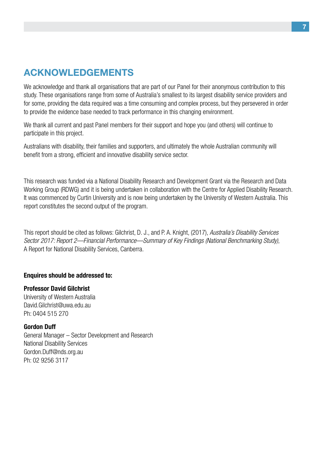## **Acknowledgements**

We acknowledge and thank all organisations that are part of our Panel for their anonymous contribution to this study. These organisations range from some of Australia's smallest to its largest disability service providers and for some, providing the data required was a time consuming and complex process, but they persevered in order to provide the evidence base needed to track performance in this changing environment.

We thank all current and past Panel members for their support and hope you (and others) will continue to participate in this project.

Australians with disability, their families and supporters, and ultimately the whole Australian community will benefit from a strong, efficient and innovative disability service sector.

This research was funded via a National Disability Research and Development Grant via the Research and Data Working Group (RDWG) and it is being undertaken in collaboration with the Centre for Applied Disability Research. It was commenced by Curtin University and is now being undertaken by the University of Western Australia. This report constitutes the second output of the program.

This report should be cited as follows: Gilchrist, D. J., and P. A. Knight, (2017), *Australia's Disability Services Sector 2017: Report 2—Financial Performance—Summary of Key Findings (National Benchmarking Study)*, A Report for National Disability Services, Canberra.

#### **Enquires should be addressed to:**

#### **Professor David Gilchrist**

University of Western Australia David.Gilchrist@uwa.edu.au Ph: 0404 515 270

#### **Gordon Duff**

General Manager – Sector Development and Research National Disability Services Gordon.Duff@nds.org.au Ph: 02 9256 3117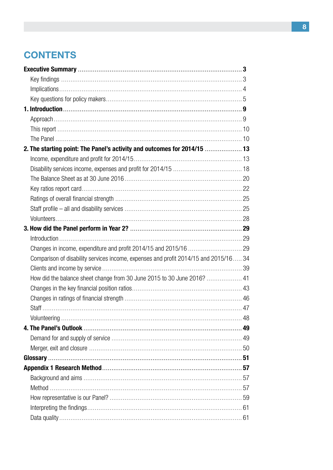## **CONTENTS**

| 2. The starting point: The Panel's activity and outcomes for 2014/15  13            |  |
|-------------------------------------------------------------------------------------|--|
|                                                                                     |  |
|                                                                                     |  |
|                                                                                     |  |
|                                                                                     |  |
|                                                                                     |  |
|                                                                                     |  |
|                                                                                     |  |
|                                                                                     |  |
| $Introduction \dots 29$                                                             |  |
|                                                                                     |  |
| Comparison of disability services income, expenses and profit 2014/15 and 2015/1634 |  |
|                                                                                     |  |
|                                                                                     |  |
|                                                                                     |  |
|                                                                                     |  |
|                                                                                     |  |
|                                                                                     |  |
|                                                                                     |  |
|                                                                                     |  |
|                                                                                     |  |
|                                                                                     |  |
|                                                                                     |  |
|                                                                                     |  |
|                                                                                     |  |
|                                                                                     |  |
|                                                                                     |  |
|                                                                                     |  |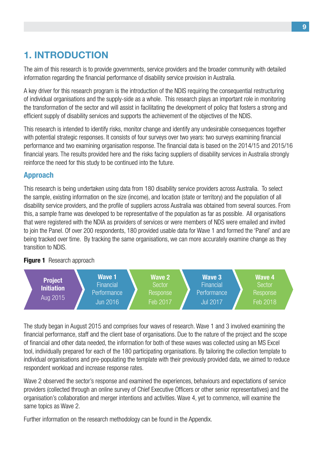## **1. Introduction**

The aim of this research is to provide governments, service providers and the broader community with detailed information regarding the financial performance of disability service provision in Australia.

A key driver for this research program is the introduction of the NDIS requiring the consequential restructuring of individual organisations and the supply-side as a whole. This research plays an important role in monitoring the transformation of the sector and will assist in facilitating the development of policy that fosters a strong and efficient supply of disability services and supports the achievement of the objectives of the NDIS.

This research is intended to identify risks, monitor change and identify any undesirable consequences together with potential strategic responses. It consists of four surveys over two years: two surveys examining financial performance and two examining organisation response. The financial data is based on the 2014/15 and 2015/16 financial years. The results provided here and the risks facing suppliers of disability services in Australia strongly reinforce the need for this study to be continued into the future.

## **Approach**

This research is being undertaken using data from 180 disability service providers across Australia. To select the sample, existing information on the size (income), and location (state or territory) and the population of all disability service providers, and the profile of suppliers across Australia was obtained from several sources. From this, a sample frame was developed to be representative of the population as far as possible. All organisations that were registered with the NDIA as providers of services or were members of NDS were emailed and invited to join the Panel. Of over 200 respondents, 180 provided usable data for Wave 1 and formed the 'Panel' and are being tracked over time. By tracking the same organisations, we can more accurately examine change as they transition to NDIS.

#### **Figure 1** Research approach



The study began in August 2015 and comprises four waves of research. Wave 1 and 3 involved examining the financial performance, staff and the client base of organisations. Due to the nature of the project and the scope of financial and other data needed, the information for both of these waves was collected using an MS Excel tool, individually prepared for each of the 180 participating organisations. By tailoring the collection template to individual organisations and pre-populating the template with their previously provided data, we aimed to reduce respondent workload and increase response rates.

Wave 2 observed the sector's response and examined the experiences, behaviours and expectations of service providers (collected through an online survey of Chief Executive Officers or other senior representatives) and the organisation's collaboration and merger intentions and activities. Wave 4, yet to commence, will examine the same topics as Wave 2.

Further information on the research methodology can be found in the Appendix.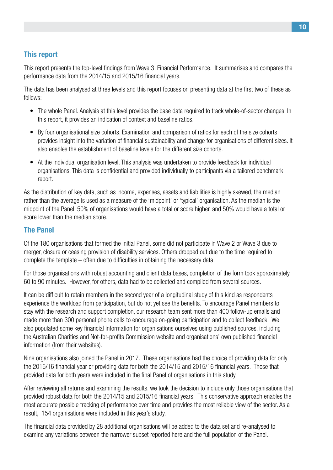## **This report**

This report presents the top-level findings from Wave 3: Financial Performance. It summarises and compares the performance data from the 2014/15 and 2015/16 financial years.

The data has been analysed at three levels and this report focuses on presenting data at the first two of these as follows:

- The whole Panel. Analysis at this level provides the base data required to track whole-of-sector changes. In this report, it provides an indication of context and baseline ratios.
- By four organisational size cohorts. Examination and comparison of ratios for each of the size cohorts provides insight into the variation of financial sustainability and change for organisations of different sizes. It also enables the establishment of baseline levels for the different size cohorts.
- At the individual organisation level. This analysis was undertaken to provide feedback for individual organisations. This data is confidential and provided individually to participants via a tailored benchmark report.

As the distribution of key data, such as income, expenses, assets and liabilities is highly skewed, the median rather than the average is used as a measure of the 'midpoint' or 'typical' organisation. As the median is the midpoint of the Panel, 50% of organisations would have a total or score higher, and 50% would have a total or score lower than the median score.

### **The Panel**

Of the 180 organisations that formed the initial Panel, some did not participate in Wave 2 or Wave 3 due to merger, closure or ceasing provision of disability services. Others dropped out due to the time required to complete the template – often due to difficulties in obtaining the necessary data.

For those organisations with robust accounting and client data bases, completion of the form took approximately 60 to 90 minutes. However, for others, data had to be collected and compiled from several sources.

It can be difficult to retain members in the second year of a longitudinal study of this kind as respondents experience the workload from participation, but do not yet see the benefits. To encourage Panel members to stay with the research and support completion, our research team sent more than 400 follow-up emails and made more than 300 personal phone calls to encourage on-going participation and to collect feedback. We also populated some key financial information for organisations ourselves using published sources, including the Australian Charities and Not-for-profits Commission website and organisations' own published financial information (from their websites).

Nine organisations also joined the Panel in 2017. These organisations had the choice of providing data for only the 2015/16 financial year or providing data for both the 2014/15 and 2015/16 financial years. Those that provided data for both years were included in the final Panel of organisations in this study.

After reviewing all returns and examining the results, we took the decision to include only those organisations that provided robust data for both the 2014/15 and 2015/16 financial years. This conservative approach enables the most accurate possible tracking of performance over time and provides the most reliable view of the sector. As a result, 154 organisations were included in this year's study.

The financial data provided by 28 additional organisations will be added to the data set and re-analysed to examine any variations between the narrower subset reported here and the full population of the Panel.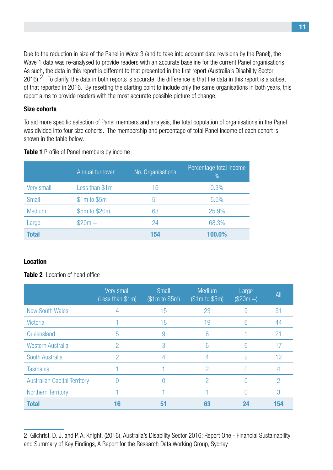Due to the reduction in size of the Panel in Wave 3 (and to take into account data revisions by the Panel), the Wave 1 data was re-analysed to provide readers with an accurate baseline for the current Panel organisations. As such, the data in this report is different to that presented in the first report (Australia's Disability Sector 2016).<sup>2</sup> To clarify, the data in both reports is accurate, the difference is that the data in this report is a subset of that reported in 2016. By resetting the starting point to include only the same organisations in both years, this report aims to provide readers with the most accurate possible picture of change.

#### **Size cohorts**

To aid more specific selection of Panel members and analysis, the total population of organisations in the Panel was divided into four size cohorts. The membership and percentage of total Panel income of each cohort is shown in the table below.

|               | Annual turnover  | No. Organisations | Percentage total income<br>$\frac{0}{0}$ |
|---------------|------------------|-------------------|------------------------------------------|
| Very small    | Less than \$1m   | 16                | 0.3%                                     |
| Small         | $$1m$$ to $$5m$$ | 51                | 5.5%                                     |
| <b>Medium</b> | \$5m to \$20m    | 63                | 25.9%                                    |
| Large         | $$20m +$         | 24                | 68.3%                                    |
| <b>Total</b>  |                  | 154               | 100.0%                                   |

**Table 1** Profile of Panel members by income

### **Location**

**Table 2** Location of head office

|                                     | Very small<br>(Less than \$1m) | <b>Small</b><br>(\$1m to \$5m) | <b>Medium</b><br>(\$1m to \$5m) | Large<br>$($20m +)$ | All |
|-------------------------------------|--------------------------------|--------------------------------|---------------------------------|---------------------|-----|
| <b>New South Wales</b>              |                                | 15                             | 23                              | 9                   | 51  |
| <b>Victoria</b>                     |                                | 18                             | 19                              | 6                   | 44  |
| Queensland                          | 5                              | 9                              | 6                               |                     | 21  |
| <b>Western Australia</b>            | 2                              | 3                              | 6                               | 6                   | 17  |
| South Australia                     | 2                              | 4                              | 4                               | 2                   | 12  |
| <b>Tasmania</b>                     |                                |                                | 2                               |                     | 4   |
| <b>Australian Capital Territory</b> |                                |                                | 2                               |                     | 2   |
| <b>Northern Territory</b>           |                                |                                |                                 |                     | 3   |
| <b>Total</b>                        | 16                             | 51                             | 63                              | 24                  | 154 |

<sup>2</sup> Gilchrist, D. J. and P. A. Knight, (2016), Australia's Disability Sector 2016: Report One - Financial Sustainability and Summary of Key Findings, A Report for the Research Data Working Group, Sydney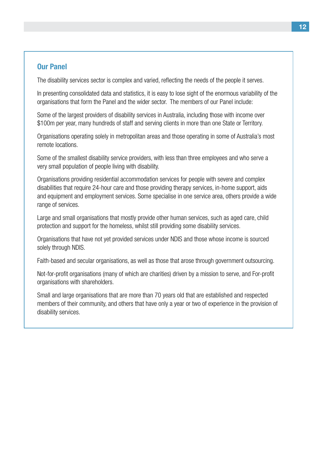#### **Our Panel**

The disability services sector is complex and varied, reflecting the needs of the people it serves.

In presenting consolidated data and statistics, it is easy to lose sight of the enormous variability of the organisations that form the Panel and the wider sector. The members of our Panel include:

Some of the largest providers of disability services in Australia, including those with income over \$100m per year, many hundreds of staff and serving clients in more than one State or Territory.

Organisations operating solely in metropolitan areas and those operating in some of Australia's most remote locations.

Some of the smallest disability service providers, with less than three employees and who serve a very small population of people living with disability.

Organisations providing residential accommodation services for people with severe and complex disabilities that require 24-hour care and those providing therapy services, in-home support, aids and equipment and employment services. Some specialise in one service area, others provide a wide range of services.

Large and small organisations that mostly provide other human services, such as aged care, child protection and support for the homeless, whilst still providing some disability services.

Organisations that have not yet provided services under NDIS and those whose income is sourced solely through NDIS.

Faith-based and secular organisations, as well as those that arose through government outsourcing.

Not-for-profit organisations (many of which are charities) driven by a mission to serve, and For-profit organisations with shareholders.

Small and large organisations that are more than 70 years old that are established and respected members of their community, and others that have only a year or two of experience in the provision of disability services.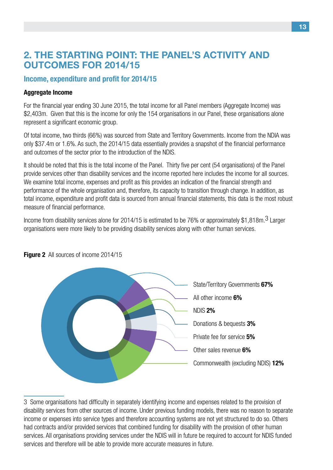## **2. The starting point: The Panel's activity and outcomes for 2014/15**

#### **Income, expenditure and profit for 2014/15**

#### **Aggregate Income**

For the financial year ending 30 June 2015, the total income for all Panel members (Aggregate Income) was \$2,403m. Given that this is the income for only the 154 organisations in our Panel, these organisations alone represent a significant economic group.

Of total income, two thirds (66%) was sourced from State and Territory Governments. Income from the NDIA was only \$37.4m or 1.6%. As such, the 2014/15 data essentially provides a snapshot of the financial performance and outcomes of the sector prior to the introduction of the NDIS.

It should be noted that this is the total income of the Panel. Thirty five per cent (54 organisations) of the Panel provide services other than disability services and the income reported here includes the income for all sources. We examine total income, expenses and profit as this provides an indication of the financial strength and performance of the whole organisation and, therefore, its capacity to transition through change. In addition, as total income, expenditure and profit data is sourced from annual financial statements, this data is the most robust measure of financial performance.

Income from disability services alone for 2014/15 is estimated to be 76% or approximately \$1,818m.<sup>3</sup> Larger organisations were more likely to be providing disability services along with other human services.



#### **Figure 2** All sources of income 2014/15

<sup>3</sup> Some organisations had difficulty in separately identifying income and expenses related to the provision of disability services from other sources of income. Under previous funding models, there was no reason to separate income or expenses into service types and therefore accounting systems are not yet structured to do so. Others had contracts and/or provided services that combined funding for disability with the provision of other human services. All organisations providing services under the NDIS will in future be required to account for NDIS funded services and therefore will be able to provide more accurate measures in future.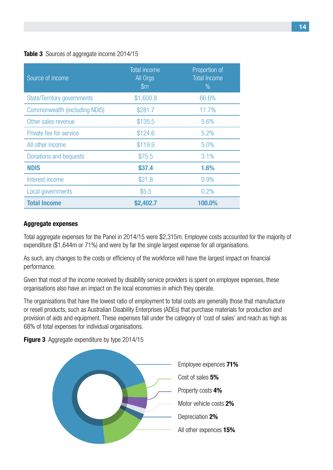#### **Table 3** Sources of aggregate income 2014/15

| Source of income                     | <b>Total income</b><br>All Orgs<br>$\mathsf{m}$ | Proportion of<br><b>Total Income</b><br>$\%$ |
|--------------------------------------|-------------------------------------------------|----------------------------------------------|
| <b>State/Territory governments</b>   | \$1,600.8                                       | 66.6%                                        |
| <b>Commonwealth (excluding NDIS)</b> | \$281.7                                         | 11.7%                                        |
| Other sales revenue                  | \$135.5                                         | 5.6%                                         |
| Private fee for service              | \$124.6                                         | 5.2%                                         |
| All other income                     | \$119.9                                         | 5.0%                                         |
| Donations and bequests               | \$75.5                                          | 3.1%                                         |
| <b>NDIS</b>                          | \$37.4                                          | 1.6%                                         |
| Interest income                      | \$21.8                                          | 0.9%                                         |
| Local governments                    | \$5.5                                           | 0.2%                                         |
| <b>Total Income</b>                  | \$2,402.7                                       | 100.0%                                       |

#### **Aggregate expenses**

Total aggregate expenses for the Panel in 2014/15 were \$2,315m. Employee costs accounted for the majority of expenditure (\$1,644m or 71%) and were by far the single largest expense for all organisations.

As such, any changes to the costs or efficiency of the workforce will have the largest impact on financial performance.

Given that most of the income received by disability service providers is spent on employee expenses, these organisations also have an impact on the local economies in which they operate.

The organisations that have the lowest ratio of employment to total costs are generally those that manufacture or resell products, such as Australian Disability Enterprises (ADEs) that purchase materials for production and provision of aids and equipment. These expenses fall under the category of 'cost of sales' and reach as high as 68% of total expenses for individual organisations.



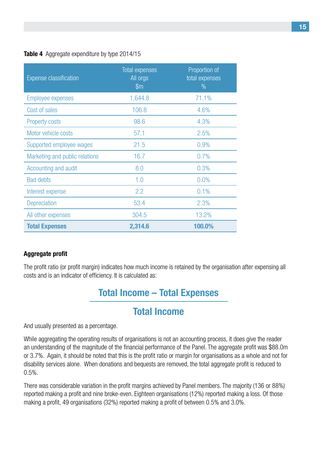#### **Table 4** Aggregate expenditure by type 2014/15

| <b>Expense classification</b>  | <b>Total expenses</b><br>All orgs<br>$\mathsf{m}$ | Proportion of<br>total expenses<br>$\%$ |
|--------------------------------|---------------------------------------------------|-----------------------------------------|
| Employee expenses              | 1,644.8                                           | 71.1%                                   |
| Cost of sales                  | 106.8                                             | 4.6%                                    |
| <b>Property costs</b>          | 98.6                                              | 4.3%                                    |
| Motor vehicle costs            | 57.1                                              | 2.5%                                    |
| Supported employee wages       | 21.5                                              | 0.9%                                    |
| Marketing and public relations | 16.7                                              | 0.7%                                    |
| Accounting and audit           | 8.0                                               | 0.3%                                    |
| <b>Bad debts</b>               | 1.0                                               | 0.0%                                    |
| Interest expense               | 2.2                                               | 0.1%                                    |
| Depreciation                   | 53.4                                              | 2.3%                                    |
| All other expenses             | 304.5                                             | 13.2%                                   |
| <b>Total Expenses</b>          | 2,314.6                                           | 100.0%                                  |

### **Aggregate profit**

The profit ratio (or profit margin) indicates how much income is retained by the organisation after expensing all costs and is an indicator of efficiency. It is calculated as:

## **Total Income – Total Expenses**

## **Total Income**

And usually presented as a percentage.

While aggregating the operating results of organisations is not an accounting process, it does give the reader an understanding of the magnitude of the financial performance of the Panel. The aggregate profit was \$88.0m or 3.7%. Again, it should be noted that this is the profit ratio or margin for organisations as a whole and not for disability services alone. When donations and bequests are removed, the total aggregate profit is reduced to 0.5%.

There was considerable variation in the profit margins achieved by Panel members. The majority (136 or 88%) reported making a profit and nine broke-even. Eighteen organisations (12%) reported making a loss. Of those making a profit, 49 organisations (32%) reported making a profit of between 0.5% and 3.0%.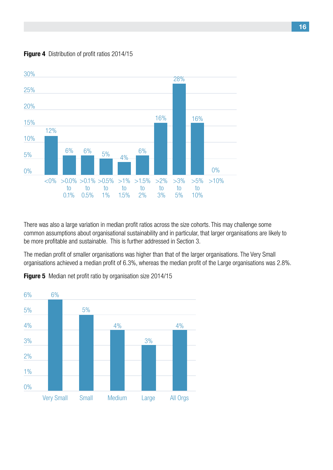



There was also a large variation in median profit ratios across the size cohorts. This may challenge some common assumptions about organisational sustainability and in particular, that larger organisations are likely to be more profitable and sustainable. This is further addressed in Section 3.

The median profit of smaller organisations was higher than that of the larger organisations. The Very Small organisations achieved a median profit of 6.3%, whereas the median profit of the Large organisations was 2.8%.



**Figure 5** Median net profit ratio by organisation size 2014/15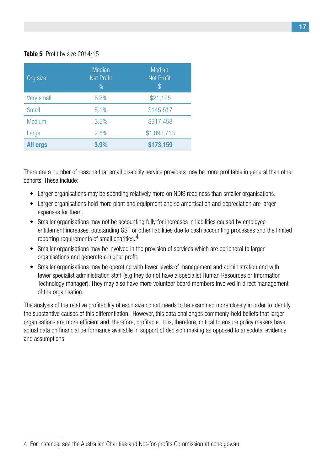#### **Table 5** Profit by size 2014/15

| Org size          | <b>Median</b><br><b>Net Profit</b><br>$\%$ | <b>Median</b><br><b>Net Profit</b><br>$\$\$ |
|-------------------|--------------------------------------------|---------------------------------------------|
| <b>Very small</b> | 6.3%                                       | \$21,125                                    |
| Small             | 5.1%                                       | \$145,517                                   |
| <b>Medium</b>     | 3.5%                                       | \$317,458                                   |
| Large             | 2.8%                                       | \$1,093,713                                 |
| <b>All orgs</b>   | 3.9%                                       | \$173,159                                   |

There are a number of reasons that small disability service providers may be more profitable in general than other cohorts. These include:

- Larger organisations may be spending relatively more on NDIS readiness than smaller organisations.
- Larger organisations hold more plant and equipment and so amortisation and depreciation are larger expenses for them.
- Smaller organisations may not be accounting fully for increases in liabilities caused by employee entitlement increases, outstanding GST or other liabilities due to cash accounting processes and the limited reporting requirements of small charities.<sup>4</sup>
- Smaller organisations may be involved in the provision of services which are peripheral to larger organisations and generate a higher profit.
- Smaller organisations may be operating with fewer levels of management and administration and with fewer specialist administration staff (e.g they do not have a specialist Human Resources or Information Technology manager). They may also have more volunteer board members involved in direct management of the organisation.

The analysis of the relative profitability of each size cohort needs to be examined more closely in order to identify the substantive causes of this differentiation. However, this data challenges commonly-held beliefs that larger organisations are more efficient and, therefore, profitable. It is, therefore, critical to ensure policy makers have actual data on financial performance available in support of decision making as opposed to anecdotal evidence and assumptions.

<sup>4</sup> For instance, see the Australian Charities and Not-for-profits Commission at acnc.gov.au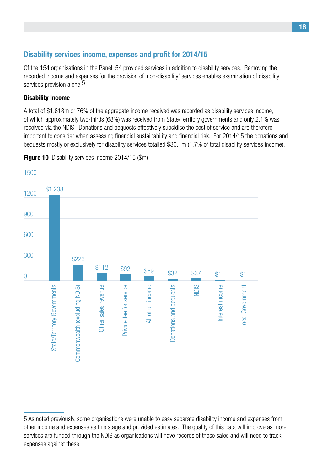### **Disability services income, expenses and profit for 2014/15**

Of the 154 organisations in the Panel, 54 provided services in addition to disability services. Removing the recorded income and expenses for the provision of 'non-disability' services enables examination of disability services provision alone.<sup>5</sup>

#### **Disability Income**

A total of \$1,818m or 76% of the aggregate income received was recorded as disability services income, of which approximately two-thirds (68%) was received from State/Territory governments and only 2.1% was received via the NDIS. Donations and bequests effectively subsidise the cost of service and are therefore important to consider when assessing financial sustainability and financial risk. For 2014/15 the donations and bequests mostly or exclusively for disability services totalled \$30.1m (1.7% of total disability services income).



**Figure 10** Disability services income 2014/15 (\$m)

<sup>5</sup> As noted previously, some organisations were unable to easy separate disability income and expenses from other income and expenses as this stage and provided estimates. The quality of this data will improve as more services are funded through the NDIS as organisations will have records of these sales and will need to track expenses against these.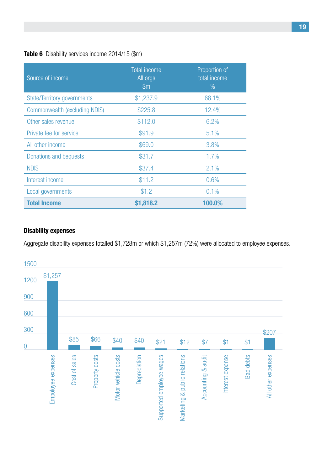#### **Table 6** Disability services income 2014/15 (\$m)

| Source of income                   | <b>Total income</b><br>All orgs<br>$\mathsf{m}$ | Proportion of<br>total income<br>$\%$ |
|------------------------------------|-------------------------------------------------|---------------------------------------|
| <b>State/Territory governments</b> | \$1,237.9                                       | 68.1%                                 |
| Commonwealth (excluding NDIS)      | \$225.8                                         | 12.4%                                 |
| Other sales revenue                | \$112.0                                         | 6.2%                                  |
| Private fee for service            | \$91.9                                          | 5.1%                                  |
| All other income                   | \$69.0                                          | 3.8%                                  |
| Donations and bequests             | \$31.7                                          | 1.7%                                  |
| <b>NDIS</b>                        | \$37.4                                          | 2.1%                                  |
| Interest income                    | \$11.2                                          | 0.6%                                  |
| Local governments                  | \$1.2                                           | 0.1%                                  |
| <b>Total Income</b>                | \$1,818.2                                       | 100.0%                                |

#### **Disability expenses**

Aggregate disability expenses totalled \$1,728m or which \$1,257m (72%) were allocated to employee expenses.

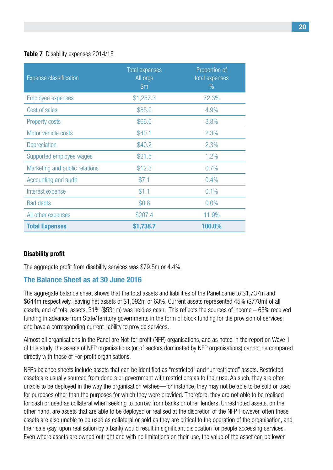#### **Table 7** Disability expenses 2014/15

| <b>Expense classification</b>  | <b>Total expenses</b><br>All orgs<br>$\mathsf{Sm}$ | Proportion of<br>total expenses<br>$\%$ |
|--------------------------------|----------------------------------------------------|-----------------------------------------|
| <b>Employee expenses</b>       | \$1,257.3                                          | 72.3%                                   |
| Cost of sales                  | \$85.0                                             | 4.9%                                    |
| <b>Property costs</b>          | \$66.0                                             | 3.8%                                    |
| Motor vehicle costs            | \$40.1                                             | 2.3%                                    |
| Depreciation                   | \$40.2                                             | 2.3%                                    |
| Supported employee wages       | \$21.5                                             | 1.2%                                    |
| Marketing and public relations | \$12.3                                             | 0.7%                                    |
| Accounting and audit           | \$7.1                                              | 0.4%                                    |
| Interest expense               | \$1.1                                              | 0.1%                                    |
| <b>Bad debts</b>               | \$0.8                                              | 0.0%                                    |
| All other expenses             | \$207.4                                            | 11.9%                                   |
| <b>Total Expenses</b>          | \$1,738.7                                          | 100.0%                                  |

#### **Disability profit**

The aggregate profit from disability services was \$79.5m or 4.4%.

## **The Balance Sheet as at 30 June 2016**

The aggregate balance sheet shows that the total assets and liabilities of the Panel came to \$1,737m and \$644m respectively, leaving net assets of \$1,092m or 63%. Current assets represented 45% (\$778m) of all assets, and of total assets, 31% (\$531m) was held as cash. This reflects the sources of income – 65% received funding in advance from State/Territory governments in the form of block funding for the provision of services, and have a corresponding current liability to provide services.

Almost all organisations in the Panel are Not-for-profit (NFP) organisations, and as noted in the report on Wave 1 of this study, the assets of NFP organisations (or of sectors dominated by NFP organisations) cannot be compared directly with those of For-profit organisations.

NFPs balance sheets include assets that can be identified as "restricted" and "unrestricted" assets. Restricted assets are usually sourced from donors or government with restrictions as to their use. As such, they are often unable to be deployed in the way the organisation wishes—for instance, they may not be able to be sold or used for purposes other than the purposes for which they were provided. Therefore, they are not able to be realised for cash or used as collateral when seeking to borrow from banks or other lenders. Unrestricted assets, on the other hand, are assets that are able to be deployed or realised at the discretion of the NFP. However, often these assets are also unable to be used as collateral or sold as they are critical to the operation of the organisation, and their sale (say, upon realisation by a bank) would result in significant dislocation for people accessing services. Even where assets are owned outright and with no limitations on their use, the value of the asset can be lower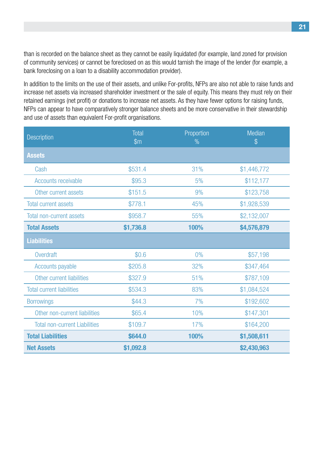than is recorded on the balance sheet as they cannot be easily liquidated (for example, land zoned for provision of community services) or cannot be foreclosed on as this would tarnish the image of the lender (for example, a bank foreclosing on a loan to a disability accommodation provider).

In addition to the limits on the use of their assets, and unlike For-profits, NFPs are also not able to raise funds and increase net assets via increased shareholder investment or the sale of equity. This means they must rely on their retained earnings (net profit) or donations to increase net assets. As they have fewer options for raising funds, NFPs can appear to have comparatively stronger balance sheets and be more conservative in their stewardship and use of assets than equivalent For-profit organisations.

| Description                          | Total<br>$\mathsf{m}$ | Proportion<br>Median<br>$\frac{0}{0}$<br>$\$\$ |             |
|--------------------------------------|-----------------------|------------------------------------------------|-------------|
| <b>Assets</b>                        |                       |                                                |             |
| Cash                                 | \$531.4               | 31%                                            | \$1,446,772 |
| Accounts receivable                  | \$95.3                | 5%                                             | \$112,177   |
| Other current assets                 | \$151.5               | 9%                                             | \$123,758   |
| <b>Total current assets</b>          | \$778.1               | 45%                                            | \$1,928,539 |
| <b>Total non-current assets</b>      | \$958.7               | 55%                                            | \$2,132,007 |
| <b>Total Assets</b>                  | \$1,736.8             | 100%                                           | \$4,576,879 |
| <b>Liabilities</b>                   |                       |                                                |             |
| Overdraft                            | \$0.6                 | 0%                                             | \$57,198    |
| Accounts payable                     | \$205.8               | 32%                                            | \$347,464   |
| Other current liabilities            | \$327.9               | 51%                                            | \$787,109   |
| <b>Total current liabilities</b>     | \$534.3               | 83%                                            | \$1,084,524 |
| <b>Borrowings</b>                    | \$44.3                | 7%                                             | \$192,602   |
| Other non-current liabilities        | \$65.4                | 10%                                            | \$147,301   |
| <b>Total non-current Liabilities</b> | \$109.7               | 17%                                            | \$164,200   |
| <b>Total Liabilities</b>             | \$644.0               | 100%                                           | \$1,508,611 |
| <b>Net Assets</b>                    | \$1,092.8             |                                                | \$2,430,963 |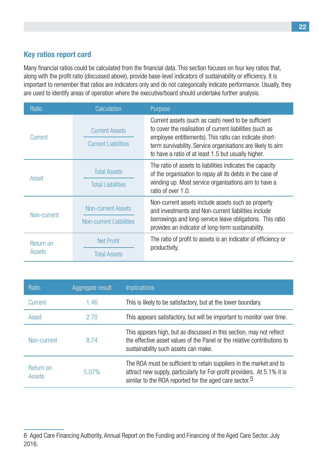## **Key ratios report card**

Many financial ratios could be calculated from the financial data. This section focuses on four key ratios that, along with the profit ratio (discussed above), provide base-level indicators of sustainability or efficiency. It is important to remember that ratios are indicators only and do not categorically indicate performance. Usually, they are used to identify areas of operation where the executive/board should undertake further analysis.

| Ratio               | Calculation                                                 | Purpose                                                                                                                                                                                                                                                                                         |
|---------------------|-------------------------------------------------------------|-------------------------------------------------------------------------------------------------------------------------------------------------------------------------------------------------------------------------------------------------------------------------------------------------|
| Current             | <b>Current Assets</b><br><b>Current Liabilities</b>         | Current assets (such as cash) need to be sufficient<br>to cover the realisation of current liabilities (such as<br>employee entitlements). This ratio can indicate short-<br>term survivability. Service organisations are likely to aim<br>to have a ratio of at least 1.5 but usually higher. |
| Asset               | <b>Total Assets</b><br><b>Total Liabilities</b>             | The ratio of assets to liabilities indicates the capacity<br>of the organisation to repay all its debts in the case of<br>winding up. Most service organisations aim to have a<br>ratio of over 1.0.                                                                                            |
| Non-current         | <b>Non-current Assets</b><br><b>Non-current Liabilities</b> | Non-current assets include assets such as property<br>and investments and Non-current liabilities include<br>borrowings and long-service leave obligations. This ratio<br>provides an indicator of long-term sustainability.                                                                    |
| Return on<br>Assets | <b>Net Profit</b><br><b>Total Assets</b>                    | The ratio of profit to assets is an indicator of efficiency or<br>productivity.                                                                                                                                                                                                                 |

| Ratio               | Aggregate result | <b>Implications</b>                                                                                                                                                                                                   |
|---------------------|------------------|-----------------------------------------------------------------------------------------------------------------------------------------------------------------------------------------------------------------------|
| Current             | 1.46             | This is likely to be satisfactory, but at the lower boundary.                                                                                                                                                         |
| Asset               | 2.70             | This appears satisfactory, but will be important to monitor over time.                                                                                                                                                |
| Non-current         | 8.74             | This appears high, but as discussed in this section, may not reflect<br>the effective asset values of the Panel or the relative contributions to<br>sustainability such assets can make.                              |
| Return on<br>Assets | 5.07%            | The ROA must be sufficient to retain suppliers in the market and to<br>attract new supply, particularly for For-profit providers. At 5.1% it is<br>similar to the ROA reported for the aged care sector. <sup>5</sup> |

<sup>6</sup> Aged Care Financing Authority, Annual Report on the Funding and Financing of the Aged Care Sector, July 2016.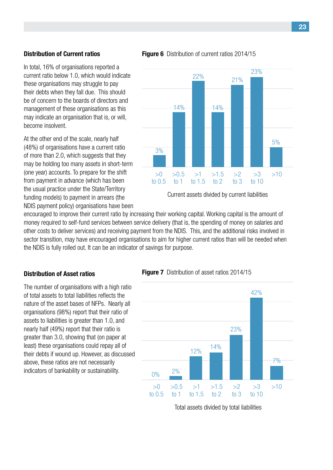#### **Distribution of Current ratios**

In total, 16% of organisations reported a current ratio below 1.0, which would indicate these organisations may struggle to pay their debts when they fall due. This should be of concern to the boards of directors and management of these organisations as this may indicate an organisation that is, or will, become insolvent.

At the other end of the scale, nearly half (48%) of organisations have a current ratio of more than 2.0, which suggests that they may be holding too many assets in short-term (one year) accounts. To prepare for the shift from payment in advance (which has been the usual practice under the State/Territory funding models) to payment in arrears (the NDIS payment policy) organisations have been **Figure 6** Distribution of current ratios 2014/15



Current assets divided by current liabilities

encouraged to improve their current ratio by increasing their working capital. Working capital is the amount of money required to self-fund services between service delivery (that is, the spending of money on salaries and other costs to deliver services) and receiving payment from the NDIS. This, and the additional risks involved in sector transition, may have encouraged organisations to aim for higher current ratios than will be needed when the NDIS is fully rolled out. It can be an indicator of savings for purpose.

#### **Distribution of Asset ratios**

The number of organisations with a high ratio of total assets to total liabilities reflects the nature of the asset bases of NFPs. Nearly all organisations (98%) report that their ratio of assets to liabilities is greater than 1.0, and nearly half (49%) report that their ratio is greater than 3.0, showing that (on paper at least) these organisations could repay all of their debts if wound up. However, as discussed above, these ratios are not necessarily indicators of bankability or sustainability.

#### **Figure 7** Distribution of asset ratios 2014/15



Total assets divided by total liabilities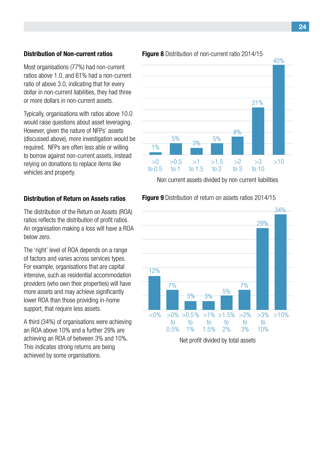#### **Distribution of Non-current ratios**

Most organisations (77%) had non-current ratios above 1.0, and 61% had a non-current ratio of above 3.0, indicating that for every dollar in non-current liabilities, they had three or more dollars in non-current assets.

Typically, organisations with ratios above 10.0 would raise questions about asset leveraging. However, given the nature of NFPs' assets (discussed above), more investigation would be required. NFPs are often less able or willing to borrow against non-current assets, instead relying on donations to replace items like vehicles and property.

#### **Distribution of Return on Assets ratios**

The distribution of the Return on Assets (ROA) ratios reflects the distribution of profit ratios. An organisation making a loss will have a ROA below zero.

The 'right' level of ROA depends on a range of factors and varies across services types. For example, organisations that are capital intensive, such as residential accommodation providers (who own their properties) will have more assets and may achieve significantly lower ROA than those providing in-home support, that require less assets.

A third (34%) of organisations were achieving an ROA above 10% and a further 29% are achieving an ROA of between 3% and 10%. This indicates strong returns are being achieved by some organisations.

#### **Figure 8** Distribution of non-current ratio 2014/15



Non current assets divided by non current liabilities

#### **Figure 9** Distribution of return on assets ratios 2014/15

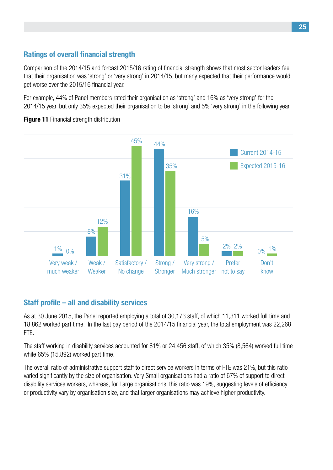## **Ratings of overall financial strength**

Comparison of the 2014/15 and forcast 2015/16 rating of financial strength shows that most sector leaders feel that their organisation was 'strong' or 'very strong' in 2014/15, but many expected that their performance would get worse over the 2015/16 financial year.

For example, 44% of Panel members rated their organisation as 'strong' and 16% as 'very strong' for the 2014/15 year, but only 35% expected their organisation to be 'strong' and 5% 'very strong' in the following year.



**Figure 11** Financial strength distribution

## **Staff profile – all and disability services**

As at 30 June 2015, the Panel reported employing a total of 30,173 staff, of which 11,311 worked full time and 18,862 worked part time. In the last pay period of the 2014/15 financial year, the total employment was 22,268 FTE.

The staff working in disability services accounted for 81% or 24,456 staff, of which 35% (8,564) worked full time while 65% (15,892) worked part time.

The overall ratio of administrative support staff to direct service workers in terms of FTE was 21%, but this ratio varied significantly by the size of organisation. Very Small organisations had a ratio of 67% of support to direct disability services workers, whereas, for Large organisations, this ratio was 19%, suggesting levels of efficiency or productivity vary by organisation size, and that larger organisations may achieve higher productivity.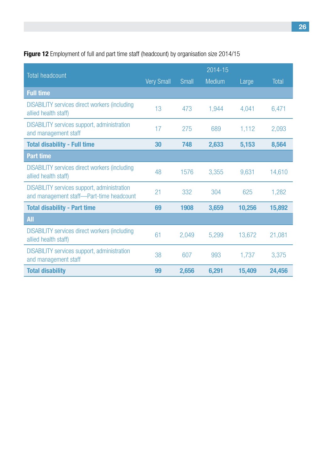## **Figure 12** Employment of full and part time staff (headcount) by organisation size 2014/15

|                                                                                                |                   |       | 2014-15 |        |        |
|------------------------------------------------------------------------------------------------|-------------------|-------|---------|--------|--------|
| <b>Total headcount</b>                                                                         | <b>Very Small</b> | Small | Medium  | Large  | Total  |
| <b>Full time</b>                                                                               |                   |       |         |        |        |
| <b>DISABILITY services direct workers (including</b><br>allied health staff)                   | 13                | 473   | 1,944   | 4,041  | 6,471  |
| <b>DISABILITY services support, administration</b><br>and management staff                     | 17                | 275   | 689     | 1,112  | 2,093  |
| <b>Total disability - Full time</b>                                                            | 30                | 748   | 2,633   | 5,153  | 8,564  |
| <b>Part time</b>                                                                               |                   |       |         |        |        |
| <b>DISABILITY services direct workers (including)</b><br>allied health staff)                  | 48                | 1576  | 3,355   | 9,631  | 14,610 |
| <b>DISABILITY services support, administration</b><br>and management staff-Part-time headcount | 21                | 332   | 304     | 625    | 1,282  |
| <b>Total disability - Part time</b>                                                            | 69                | 1908  | 3,659   | 10,256 | 15,892 |
| <b>All</b>                                                                                     |                   |       |         |        |        |
| <b>DISABILITY services direct workers (including</b><br>allied health staff)                   | 61                | 2,049 | 5,299   | 13,672 | 21,081 |
| <b>DISABILITY services support, administration</b><br>and management staff                     | 38                | 607   | 993     | 1,737  | 3,375  |
| <b>Total disability</b>                                                                        | 99                | 2,656 | 6,291   | 15,409 | 24,456 |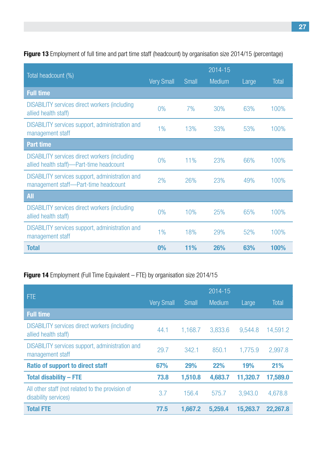**Figure 13** Employment of full time and part time staff (headcount) by organisation size 2014/15 (percentage)

|                                                                                                   | 2014-15           |            |        |       |       |  |
|---------------------------------------------------------------------------------------------------|-------------------|------------|--------|-------|-------|--|
| Total headcount (%)                                                                               | <b>Very Small</b> | Small      | Medium | Large | Total |  |
| <b>Full time</b>                                                                                  |                   |            |        |       |       |  |
| <b>DISABILITY services direct workers (including</b><br>allied health staff)                      | 0%                | 7%         | 30%    | 63%   | 100%  |  |
| <b>DISABILITY</b> services support, administration and<br>management staff                        | 1%                | 13%        | 33%    | 53%   | 100%  |  |
| <b>Part time</b>                                                                                  |                   |            |        |       |       |  |
| <b>DISABILITY services direct workers (including)</b><br>allied health staff)—Part-time headcount | 0%                | 11%        | 23%    | 66%   | 100%  |  |
| <b>DISABILITY services support, administration and</b><br>management staff-Part-time headcount    | 2%                | 26%        | 23%    | 49%   | 100%  |  |
| <b>All</b>                                                                                        |                   |            |        |       |       |  |
| <b>DISABILITY services direct workers (including)</b><br>allied health staff)                     | 0%                | 10%        | 25%    | 65%   | 100%  |  |
| <b>DISABILITY</b> services support, administration and<br>management staff                        | 1%                | 18%        | 29%    | 52%   | 100%  |  |
| <b>Total</b>                                                                                      | 0%                | <b>11%</b> | 26%    | 63%   | 100%  |  |

## **Figure 14** Employment (Full Time Equivalent – FTE) by organisation size 2014/15

|                                                                               |                   |         | 2014-15    |          |              |
|-------------------------------------------------------------------------------|-------------------|---------|------------|----------|--------------|
| <b>FTE</b>                                                                    | <b>Very Small</b> | Small   | Medium     | Large    | <b>Total</b> |
| <b>Full time</b>                                                              |                   |         |            |          |              |
| <b>DISABILITY services direct workers (including)</b><br>allied health staff) | 44.1              | 1,168.7 | 3,833.6    | 9,544.8  | 14,591.2     |
| <b>DISABILITY</b> services support, administration and<br>management staff    | 29.7              | 342.1   | 850.1      | 1,775.9  | 2,997.8      |
| <b>Ratio of support to direct staff</b>                                       | 67%               | 29%     | <b>22%</b> | 19%      | 21%          |
| <b>Total disability - FTE</b>                                                 | 73.8              | 1,510.8 | 4,683.7    | 11,320.7 | 17,589.0     |
| All other staff (not related to the provision of<br>disability services)      | 3.7               | 156.4   | 575.7      | 3,943.0  | 4,678.8      |
| <b>Total FTE</b>                                                              | 77.5              | 1,667.2 | 5,259.4    | 15,263.7 | 22,267.8     |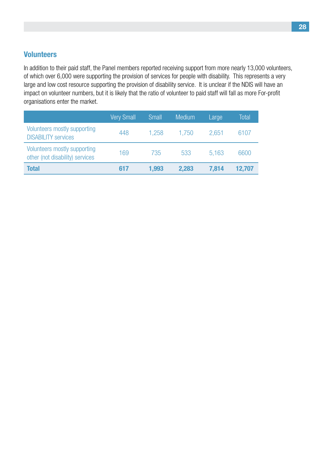## **Volunteers**

In addition to their paid staff, the Panel members reported receiving support from more nearly 13,000 volunteers, of which over 6,000 were supporting the provision of services for people with disability. This represents a very large and low cost resource supporting the provision of disability service. It is unclear if the NDIS will have an impact on volunteer numbers, but it is likely that the ratio of volunteer to paid staff will fall as more For-profit organisations enter the market.

|                                                                 | <b>Very Small</b> | <b>Small</b> | <b>Medium</b> | Large | Total  |
|-----------------------------------------------------------------|-------------------|--------------|---------------|-------|--------|
| Volunteers mostly supporting<br><b>DISABILITY services</b>      | 448               | 1.258        | 1.750         | 2.651 | 6107   |
| Volunteers mostly supporting<br>other (not disability) services | 169               | 735          | 533           | 5.163 | 6600   |
| <b>Total</b>                                                    | 617               | 1,993        | 2,283         | 7,814 | 12,707 |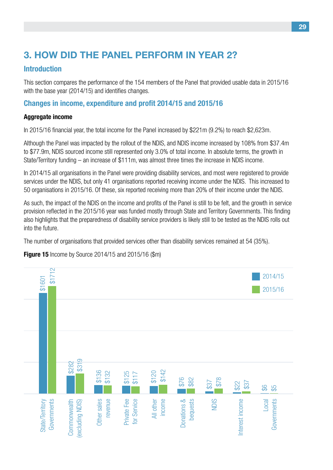## **3. How did the Panel perform in Year 2?**

## **Introduction**

This section compares the performance of the 154 members of the Panel that provided usable data in 2015/16 with the base year (2014/15) and identifies changes.

## **Changes in income, expenditure and profit 2014/15 and 2015/16**

### **Aggregate income**

In 2015/16 financial year, the total income for the Panel increased by \$221m (9.2%) to reach \$2,623m.

Although the Panel was impacted by the rollout of the NDIS, and NDIS income increased by 108% from \$37.4m to \$77.9m, NDIS sourced income still represented only 3.0% of total income. In absolute terms, the growth in State/Territory funding – an increase of \$111m, was almost three times the increase in NDIS income.

In 2014/15 all organisations in the Panel were providing disability services, and most were registered to provide services under the NDIS, but only 41 organisations reported receiving income under the NDIS. This increased to 50 organisations in 2015/16. Of these, six reported receiving more than 20% of their income under the NDIS.

As such, the impact of the NDIS on the income and profits of the Panel is still to be felt, and the growth in service provision reflected in the 2015/16 year was funded mostly through State and Territory Governments. This finding also highlights that the preparedness of disability service providers is likely still to be tested as the NDIS rolls out into the future.

The number of organisations that provided services other than disability services remained at 54 (35%).

**Figure 15** Income by Source 2014/15 and 2015/16 (\$m)

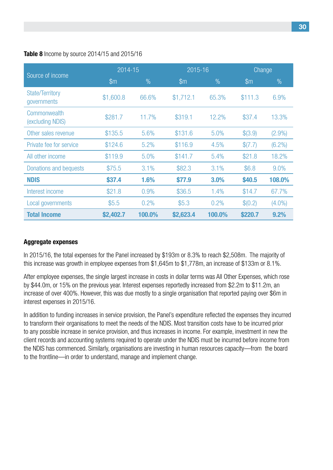#### **Table 8** Income by source 2014/15 and 2015/16

|                                       |                | 2014-15 |                | 2015-16 | Change        |           |
|---------------------------------------|----------------|---------|----------------|---------|---------------|-----------|
| Source of income                      | $\mathbb{S}$ m | $\%$    | $\mathbb{S}$ m | $\%$    | $\mathsf{Sm}$ | $\%$      |
| <b>State/Territory</b><br>governments | \$1,600.8      | 66.6%   | \$1,712.1      | 65.3%   | \$111.3       | 6.9%      |
| Commonwealth<br>(excluding NDIS)      | \$281.7        | 11.7%   | \$319.1        | 12.2%   | \$37.4        | 13.3%     |
| Other sales revenue                   | \$135.5        | 5.6%    | \$131.6        | 5.0%    | \$(3.9)       | $(2.9\%)$ |
| Private fee for service               | \$124.6        | 5.2%    | \$116.9        | 4.5%    | \$(7.7)       | $(6.2\%)$ |
| All other income                      | \$119.9        | 5.0%    | \$141.7        | 5.4%    | \$21.8        | 18.2%     |
| Donations and bequests                | \$75.5         | 3.1%    | \$82.3         | 3.1%    | \$6.8         | 9.0%      |
| <b>NDIS</b>                           | \$37.4         | 1.6%    | \$77.9         | 3.0%    | \$40.5        | 108.0%    |
| Interest income                       | \$21.8         | 0.9%    | \$36.5         | 1.4%    | \$14.7        | 67.7%     |
| Local governments                     | \$5.5          | 0.2%    | \$5.3          | 0.2%    | \$(0.2)       | $(4.0\%)$ |
| <b>Total Income</b>                   | \$2,402.7      | 100.0%  | \$2,623.4      | 100.0%  | \$220.7       | 9.2%      |

#### **Aggregate expenses**

In 2015/16, the total expenses for the Panel increased by \$193m or 8.3% to reach \$2,508m. The majority of this increase was growth in employee expenses from \$1,645m to \$1,778m, an increase of \$133m or 8.1%.

After employee expenses, the single largest increase in costs in dollar terms was All Other Expenses, which rose by \$44.0m, or 15% on the previous year. Interest expenses reportedly increased from \$2.2m to \$11.2m, an increase of over 400%. However, this was due mostly to a single organisation that reported paying over \$6m in interest expenses in 2015/16.

In addition to funding increases in service provision, the Panel's expenditure reflected the expenses they incurred to transform their organisations to meet the needs of the NDIS. Most transition costs have to be incurred prior to any possible increase in service provision, and thus increases in income. For example, investment in new the client records and accounting systems required to operate under the NDIS must be incurred before income from the NDIS has commenced. Similarly, organisations are investing in human resources capacity—from the board to the frontline—in order to understand, manage and implement change.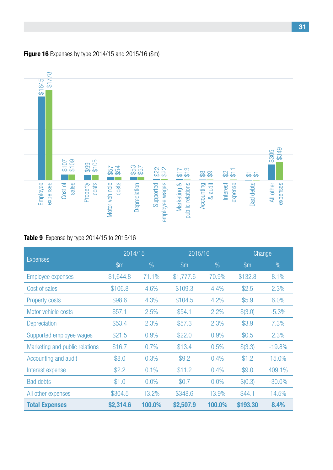#### **Figure 16** Expenses by type 2014/15 and 2015/16 (\$m)



### **Table 9** Expense by type 2014/15 to 2015/16

| 778<br>\$1645                                     |               |               |                |               |                |                                   |                                                                 |                     |                  |                       |
|---------------------------------------------------|---------------|---------------|----------------|---------------|----------------|-----------------------------------|-----------------------------------------------------------------|---------------------|------------------|-----------------------|
|                                                   |               |               |                |               |                |                                   |                                                                 |                     |                  |                       |
|                                                   |               |               |                |               |                |                                   |                                                                 |                     |                  |                       |
|                                                   |               |               |                |               |                |                                   |                                                                 |                     |                  |                       |
|                                                   |               |               |                |               |                |                                   |                                                                 |                     |                  |                       |
|                                                   |               |               |                |               |                |                                   |                                                                 |                     |                  |                       |
|                                                   |               |               |                |               |                |                                   |                                                                 |                     |                  | \$349<br>\$305        |
|                                                   | 8107<br>501\$ | \$99<br>\$105 | $$57$<br>\$54  | $$53$<br>\$57 | \$22           | $rac{6}{2}12$                     | $\overset{\infty}{\mathfrak{B}} \overset{\infty}{\mathfrak{B}}$ | $\frac{2}{5}$       | <u>रु स्र</u>    |                       |
|                                                   | sales         | costs         | costs          |               |                |                                   |                                                                 |                     |                  |                       |
| expenses<br>Employee                              | Cost of       | Property      |                | Depreciation  | Supported      |                                   | Accounting<br>& audit                                           | Interest<br>expense | <b>Bad debts</b> | expenses<br>All other |
|                                                   |               |               | Motor vehincle |               | employee wages | Marketing &  <br>public relations |                                                                 |                     |                  |                       |
|                                                   |               |               |                |               |                |                                   |                                                                 |                     |                  |                       |
| <b>Table 9</b> Expense by type 2014/15 to 2015/16 |               |               |                |               |                |                                   |                                                                 |                     |                  |                       |
|                                                   |               |               |                |               |                |                                   |                                                                 |                     |                  |                       |
|                                                   |               |               |                |               |                |                                   |                                                                 |                     |                  |                       |
|                                                   |               |               |                | 2014/15       |                |                                   | 2015/16                                                         |                     |                  | Change                |
| <b>Expenses</b>                                   |               |               | $\mathsf{m}$   |               | $\frac{0}{0}$  | \$m                               | $\%$                                                            |                     | \$m              | $\%$                  |
| <b>Employee expenses</b>                          |               |               | \$1,644.8      |               | 71.1%          | \$1,777.6                         | 70.9%                                                           |                     | \$132.8          | 8.1%                  |
| Cost of sales                                     |               |               | \$106.8        |               | 4.6%           | \$109.3                           | 4.4%                                                            |                     | \$2.5            | 2.3%                  |
| <b>Property costs</b>                             |               |               | \$98.6         |               | 4.3%           | \$104.5                           | 4.2%                                                            |                     | \$5.9            | 6.0%                  |
| Motor vehicle costs                               |               |               | \$57.1         |               | 2.5%           | \$54.1                            | 2.2%                                                            |                     | \$(3.0)          | $-5.3%$               |
| <b>Depreciation</b>                               |               |               | \$53.4         |               | 2.3%           | \$57.3                            | 2.3%                                                            |                     | \$3.9            | 7.3%                  |
| Supported employee wages                          |               |               | \$21.5         |               | 0.9%           | \$22.0                            | 0.9%                                                            |                     | \$0.5            | 2.3%                  |
| Marketing and public relations                    |               |               | \$16.7         |               | 0.7%           | \$13.4                            | 0.5%                                                            |                     | \$(3.3)          | $-19.8%$              |
| Accounting and audit                              |               |               | \$8.0          |               | 0.3%           | \$9.2                             | 0.4%                                                            |                     | \$1.2            | 15.0%                 |
| Interest expense                                  |               |               | \$2.2          |               | 0.1%           | \$11.2                            | 0.4%                                                            |                     | \$9.0            | 409.1%                |
| <b>Bad debts</b>                                  |               |               | \$1.0          |               | 0.0%           | \$0.7                             | 0.0%                                                            |                     | \$(0.3)          | $-30.0%$              |
| All other expenses                                |               |               | \$304.5        |               | 13.2%          | \$348.6                           | 13.9%                                                           |                     | \$44.1           | 14.5%                 |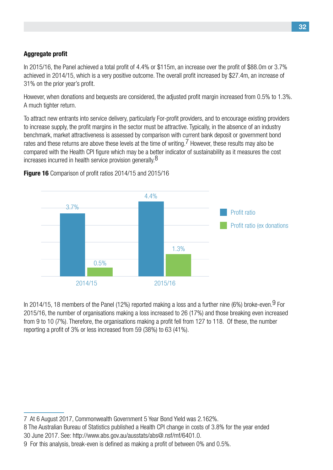## **Aggregate profit**

In 2015/16, the Panel achieved a total profit of 4.4% or \$115m, an increase over the profit of \$88.0m or 3.7% achieved in 2014/15, which is a very positive outcome. The overall profit increased by \$27.4m, an increase of 31% on the prior year's profit.

However, when donations and bequests are considered, the adjusted profit margin increased from 0.5% to 1.3%. A much tighter return.

To attract new entrants into service delivery, particularly For-profit providers, and to encourage existing providers to increase supply, the profit margins in the sector must be attractive. Typically, in the absence of an industry benchmark, market attractiveness is assessed by comparison with current bank deposit or government bond rates and these returns are above these levels at the time of writing.<sup>7</sup> However, these results may also be compared with the Health CPI figure which may be a better indicator of sustainability as it measures the cost increases incurred in health service provision generally.<sup>8</sup>



**Figure 16** Comparison of profit ratios 2014/15 and 2015/16

In 2014/15, 18 members of the Panel (12%) reported making a loss and a further nine (6%) broke-even. <sup>9</sup> For 2015/16, the number of organisations making a loss increased to 26 (17%) and those breaking even increased from 9 to 10 (7%). Therefore, the organisations making a profit fell from 127 to 118. Of these, the number reporting a profit of 3% or less increased from 59 (38%) to 63 (41%).

<sup>7</sup> At 6 August 2017, Commonwealth Government 5 Year Bond Yield was 2.162%. 

<sup>8</sup> The Australian Bureau of Statistics published a Health CPI change in costs of 3.8% for the year ended 30 June 2017. See: http://www.abs.gov.au/ausstats/abs@.nsf/mf/6401.0.

<sup>9</sup> For this analysis, break-even is defined as making a profit of between 0% and 0.5%.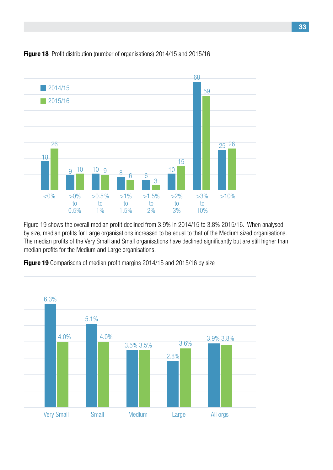

#### **Figure 18** Profit distribution (number of organisations) 2014/15 and 2015/16

Figure 19 shows the overall median profit declined from 3.9% in 2014/15 to 3.8% 2015/16. When analysed by size, median profits for Large organisations increased to be equal to that of the Medium sized organisations. The median profits of the Very Small and Small organisations have declined significantly but are still higher than median profits for the Medium and Large organisations.



**Figure 19** Comparisons of median profit margins 2014/15 and 2015/16 by size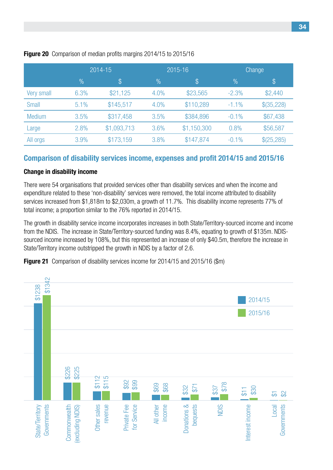|               |               | 2014-15     |               | 2015-16     | Change        |               |  |
|---------------|---------------|-------------|---------------|-------------|---------------|---------------|--|
|               | $\frac{9}{6}$ | \$          | $\frac{0}{0}$ | \$          | $\frac{0}{0}$ | $\mathcal{S}$ |  |
| Very small    | 6.3%          | \$21,125    | 4.0%          | \$23,565    | $-2.3%$       | \$2,440       |  |
| <b>Small</b>  | 5.1%          | \$145,517   | 4.0%          | \$110,289   | $-1.1\%$      | \$(35,228)    |  |
| <b>Medium</b> | 3.5%          | \$317,458   | 3.5%          | \$384,896   | $-0.1\%$      | \$67,438      |  |
| Large         | 2.8%          | \$1,093,713 | 3.6%          | \$1,150,300 | 0.8%          | \$56,587      |  |
| All orgs      | 3.9%          | \$173,159   | 3.8%          | \$147,874   | $-0.1\%$      | \$(25,285)    |  |

#### **Figure 20** Comparison of median profits margins 2014/15 to 2015/16

#### **Comparison of disability services income, expenses and profit 2014/15 and 2015/16**

#### **Change in disability income**

There were 54 organisations that provided services other than disability services and when the income and expenditure related to these 'non-disability' services were removed, the total income attributed to disability services increased from \$1,818m to \$2,030m, a growth of 11.7%. This disability income represents 77% of total income; a proportion similar to the 76% reported in 2014/15.

The growth in disability service income incorporates increases in both State/Territory-sourced income and income from the NDIS. The increase in State/Territory-sourced funding was 8.4%, equating to growth of \$135m. NDISsourced income increased by 108%, but this represented an increase of only \$40.5m, therefore the increase in State/Territory income outstripped the growth in NDIS by a factor of 2.6.

**Figure 21** Comparison of disability services income for 2014/15 and 2015/16 (\$m)

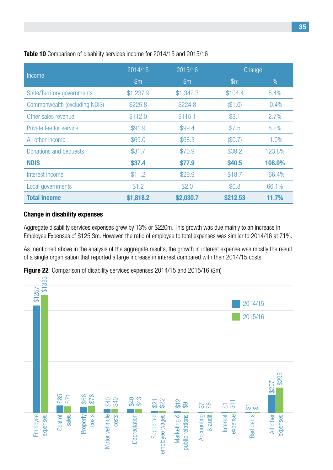|                                    | 2014/15        | 2015/16       | Change        |               |
|------------------------------------|----------------|---------------|---------------|---------------|
| Income                             | $\mathsf{S}$ m | $\mathsf{Sm}$ | $\mathsf{Sm}$ | $\frac{0}{0}$ |
| <b>State/Territory governments</b> | \$1,237.9      | \$1,342.3     | \$104.4       | 8.4%          |
| Commonwealth (excluding NDIS)      | \$225.8        | \$224.8       | (\$1.0)       | $-0.4%$       |
| Other sales revenue                | \$112.0        | \$115.1       | \$3.1         | 2.7%          |
| Private fee for service            | \$91.9         | \$99.4        | \$7.5         | 8.2%          |
| All other income                   | \$69.0         | \$68.3        | (\$0.7)       | $-1.0\%$      |
| Donations and bequests             | \$31.7         | \$70.9        | \$39.2        | 123.8%        |
| <b>NDIS</b>                        | \$37.4         | \$77.9        | \$40.5        | 108.0%        |
| Interest income                    | \$11.2         | \$29.9        | \$18.7        | 166.4%        |
| Local governments                  | \$1.2          | \$2.0         | \$0.8         | 66.1%         |
| <b>Total Income</b>                | \$1,818.2      | \$2,030.7     | \$212.53      | 11.7%         |

#### **Change in disability expenses**

Aggregate disability services expenses grew by 13% or \$220m. This growth was due mainly to an increase in Employee Expenses of \$125.3m. However, the ratio of employee to total expenses was similar to 2014/16 at 71%.

As mentioned above in the analysis of the aggregate results, the growth in interest expense was mostly the result of a single organisation that reported a large increase in interest compared with their 2014/15 costs.



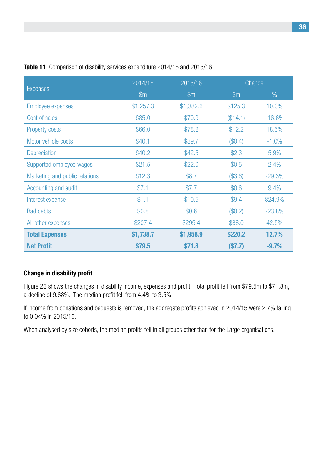|                                | 2014/15      | 2015/16       |               | Change        |  |
|--------------------------------|--------------|---------------|---------------|---------------|--|
| <b>Expenses</b>                | $\mathsf{m}$ | $\mathsf{Sm}$ | $\mathsf{Sm}$ | $\frac{0}{0}$ |  |
| <b>Employee expenses</b>       | \$1,257.3    | \$1,382.6     | \$125.3       | 10.0%         |  |
| Cost of sales                  | \$85.0       | \$70.9        | (\$14.1)      | $-16.6%$      |  |
| <b>Property costs</b>          | \$66.0       | \$78.2        | \$12.2        | 18.5%         |  |
| Motor vehicle costs            | \$40.1       | \$39.7        | (\$0.4)       | $-1.0%$       |  |
| <b>Depreciation</b>            | \$40.2       | \$42.5        | \$2.3         | 5.9%          |  |
| Supported employee wages       | \$21.5       | \$22.0        | \$0.5         | 2.4%          |  |
| Marketing and public relations | \$12.3       | \$8.7         | (\$3.6)       | $-29.3%$      |  |
| Accounting and audit           | \$7.1        | \$7.7         | \$0.6         | 9.4%          |  |
| Interest expense               | \$1.1        | \$10.5        | \$9.4         | 824.9%        |  |
| <b>Bad debts</b>               | \$0.8        | \$0.6         | (\$0.2)       | $-23.8%$      |  |
| All other expenses             | \$207.4      | \$295.4       | \$88.0        | 42.5%         |  |
| <b>Total Expenses</b>          | \$1,738.7    | \$1,958.9     | \$220.2       | 12.7%         |  |
| <b>Net Profit</b>              | \$79.5       | \$71.8        | (S7.7)        | $-9.7%$       |  |

#### **Table 11** Comparison of disability services expenditure 2014/15 and 2015/16

#### **Change in disability profit**

Figure 23 shows the changes in disability income, expenses and profit. Total profit fell from \$79.5m to \$71.8m, a decline of 9.68%. The median profit fell from 4.4% to 3.5%.

If income from donations and bequests is removed, the aggregate profits achieved in 2014/15 were 2.7% falling to 0.04% in 2015/16.

When analysed by size cohorts, the median profits fell in all groups other than for the Large organisations.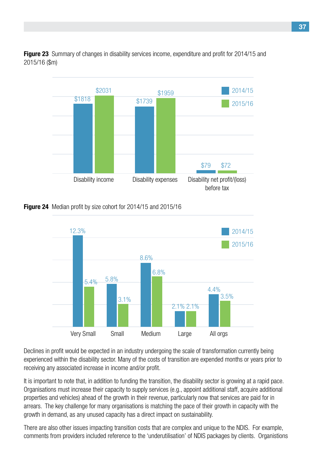

**Figure 23** Summary of changes in disability services income, expenditure and profit for 2014/15 and 2015/16 (\$m)





Declines in profit would be expected in an industry undergoing the scale of transformation currently being experienced within the disability sector. Many of the costs of transition are expended months or years prior to receiving any associated increase in income and/or profit.

It is important to note that, in addition to funding the transition, the disability sector is growing at a rapid pace. Organisations must increase their capacity to supply services (e.g., appoint additional staff, acquire additional properties and vehicles) ahead of the growth in their revenue, particularly now that services are paid for in arrears. The key challenge for many organisations is matching the pace of their growth in capacity with the growth in demand, as any unused capacity has a direct impact on sustainability.

There are also other issues impacting transition costs that are complex and unique to the NDIS. For example, comments from providers included reference to the 'underutilisation' of NDIS packages by clients. Organistions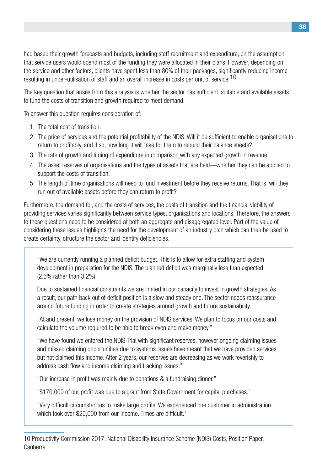had based their growth forecasts and budgets, including staff recruitment and expenditure, on the assumption that service users would spend most of the funding they were allocated in their plans. However, depending on the service and other factors, clients have spent less than 80% of their packages, significantly reducing income resulting in under-utilisation of staff and an overall increase in costs per unit of service.10

The key question that arises from this analysis is whether the sector has sufficient, suitable and available assets to fund the costs of transition and growth required to meet demand.

To answer this question requires consideration of:

- 1. The total cost of transition.
- 2. The price of services and the potential profitability of the NDIS. Will it be sufficient to enable organisations to return to profitably, and if so, how long it will take for them to rebuild their balance sheets?
- 3. The rate of growth and timing of expenditure in comparison with any expected growth in revenue.
- 4. The asset reserves of organisations and the types of assets that are held—whether they can be applied to support the costs of transition.
- 5. The length of time organisations will need to fund investment before they receive returns. That is, will they run out of available assets before they can return to profit?

Furthermore, the demand for, and the costs of services, the costs of transition and the financial viability of providing services varies significantly between service types, organisations and locations. Therefore, the answers to these questions need to be considered at both an aggregate and disaggregated level. Part of the value of considering these issues highlights the need for the development of an industry plan which can then be used to create certainty, structure the sector and identify deficiencies.

"We are currently running a planned deficit budget. This is to allow for extra staffing and system development in preparation for the NDIS. The planned deficit was marginally less than expected (2.5% rather than 3.2%).

Due to sustained financial constraints we are limited in our capacity to invest in growth strategies. As a result, our path back out of deficit position is a slow and steady one. The sector needs reassurance around future funding in order to create strategies around growth and future sustainability."

"At and present, we lose money on the provision of NDIS services. We plan to focus on our costs and calculate the volume required to be able to break even and make money."

"We have found we entered the NDIS Trial with significant reserves, however ongoing claiming issues and missed claiming opportunities due to systems issues have meant that we have provided services but not claimed this income. After 2 years, our reserves are decreasing as we work feverishly to address cash flow and income claiming and tracking issues."

"Our increase in profit was mainly due to donations & a fundraising dinner."

"\$170,000 of our profit was due to a grant from State Government for capital purchases."

"Very difficult circumstances to make large profits. We experienced one customer in administration which took over \$20,000 from our income. Times are difficult."

<sup>10</sup> Productivity Commission 2017, National Disability Insurance Scheme (NDIS) Costs, Position Paper, Canberra.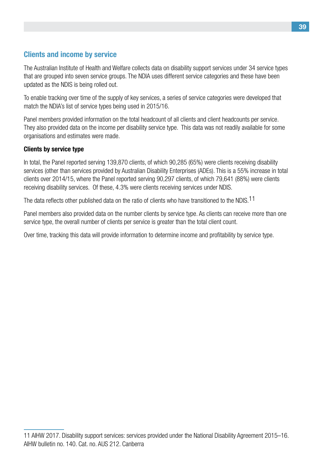## **Clients and income by service**

The Australian Institute of Health and Welfare collects data on disability support services under 34 service types that are grouped into seven service groups. The NDIA uses different service categories and these have been updated as the NDIS is being rolled out.

To enable tracking over time of the supply of key services, a series of service categories were developed that match the NDIA's list of service types being used in 2015/16.

Panel members provided information on the total headcount of all clients and client headcounts per service. They also provided data on the income per disability service type. This data was not readily available for some organisations and estimates were made.

#### **Clients by service type**

In total, the Panel reported serving 139,870 clients, of which 90,285 (65%) were clients receiving disability services (other than services provided by Australian Disability Enterprises (ADEs). This is a 55% increase in total clients over 2014/15, where the Panel reported serving 90,297 clients, of which 79,641 (88%) were clients receiving disability services. Of these, 4.3% were clients receiving services under NDIS.

The data reflects other published data on the ratio of clients who have transitioned to the NDIS.<sup>11</sup>

Panel members also provided data on the number clients by service type. As clients can receive more than one service type, the overall number of clients per service is greater than the total client count.

Over time, tracking this data will provide information to determine income and profitability by service type.

<sup>11</sup> AIHW 2017. Disability support services: services provided under the National Disability Agreement 2015–16. AIHW bulletin no. 140. Cat. no. AUS 212. Canberra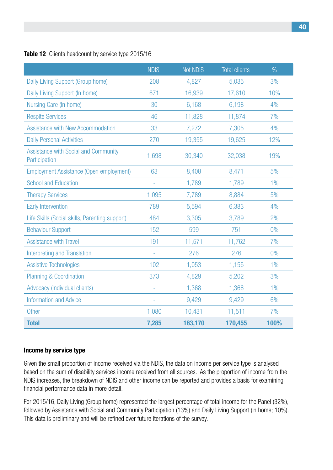#### **Table 12** Clients headcount by service type 2015/16

|                                                              | <b>NDIS</b> | <b>Not NDIS</b> | <b>Total clients</b> | $\frac{0}{0}$ |
|--------------------------------------------------------------|-------------|-----------------|----------------------|---------------|
| Daily Living Support (Group home)                            | 208         | 4,827           | 5,035                | 3%            |
| Daily Living Support (In home)                               | 671         | 16,939          | 17,610               | 10%           |
| Nursing Care (In home)                                       | 30          | 6,168           | 6,198                | 4%            |
| <b>Respite Services</b>                                      | 46          | 11,828          | 11,874               | 7%            |
| <b>Assistance with New Accommodation</b>                     | 33          | 7,272           | 7,305                | 4%            |
| <b>Daily Personal Activities</b>                             | 270         | 19,355          | 19,625               | 12%           |
| <b>Assistance with Social and Community</b><br>Participation | 1,698       | 30,340          | 32,038               | 19%           |
| <b>Employment Assistance (Open employment)</b>               | 63          | 8,408           | 8,471                | 5%            |
| <b>School and Education</b>                                  | ÷,          | 1,789           | 1,789                | $1\%$         |
| <b>Therapy Services</b>                                      | 1,095       | 7,789           | 8,884                | 5%            |
| <b>Early Intervention</b>                                    | 789         | 5,594           | 6,383                | 4%            |
| Life Skills (Social skills, Parenting support)               | 484         | 3,305           | 3,789                | 2%            |
| <b>Behaviour Support</b>                                     | 152         | 599             | 751                  | $0\%$         |
| <b>Assistance with Travel</b>                                | 191         | 11,571          | 11,762               | 7%            |
| <b>Interpreting and Translation</b>                          |             | 276             | 276                  | $0\%$         |
| <b>Assistive Technologies</b>                                | 102         | 1,053           | 1,155                | $1\%$         |
| <b>Planning &amp; Coordination</b>                           | 373         | 4,829           | 5,202                | 3%            |
| Advocacy (Individual clients)                                |             | 1,368           | 1,368                | 1%            |
| <b>Information and Advice</b>                                |             | 9,429           | 9,429                | 6%            |
| <b>Other</b>                                                 | 1,080       | 10,431          | 11,511               | 7%            |
| <b>Total</b>                                                 | 7,285       | 163,170         | 170,455              | 100%          |

#### **Income by service type**

Given the small proportion of income received via the NDIS, the data on income per service type is analysed based on the sum of disability services income received from all sources. As the proportion of income from the NDIS increases, the breakdown of NDIS and other income can be reported and provides a basis for examining financial performance data in more detail.

For 2015/16, Daily Living (Group home) represented the largest percentage of total income for the Panel (32%), followed by Assistance with Social and Community Participation (13%) and Daily Living Support (In home; 10%). This data is preliminary and will be refined over future iterations of the survey.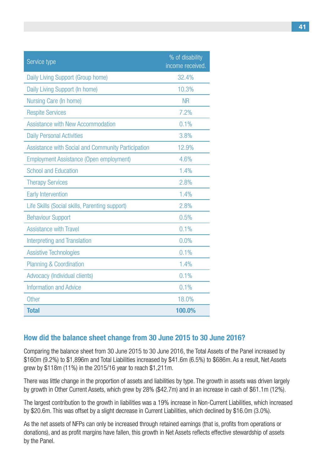| Service type                                              | % of disability<br>income received. |
|-----------------------------------------------------------|-------------------------------------|
| Daily Living Support (Group home)                         | 32.4%                               |
| Daily Living Support (In home)                            | 10.3%                               |
| Nursing Care (In home)                                    | <b>NR</b>                           |
| <b>Respite Services</b>                                   | 7.2%                                |
| <b>Assistance with New Accommodation</b>                  | 0.1%                                |
| <b>Daily Personal Activities</b>                          | 3.8%                                |
| <b>Assistance with Social and Community Participation</b> | 12.9%                               |
| <b>Employment Assistance (Open employment)</b>            | 4.6%                                |
| <b>School and Education</b>                               | 1.4%                                |
| <b>Therapy Services</b>                                   | 2.8%                                |
| <b>Early Intervention</b>                                 | 1.4%                                |
| Life Skills (Social skills, Parenting support)            | 2.8%                                |
| <b>Behaviour Support</b>                                  | 0.5%                                |
| <b>Assistance with Travel</b>                             | 0.1%                                |
| <b>Interpreting and Translation</b>                       | 0.0%                                |
| <b>Assistive Technologies</b>                             | 0.1%                                |
| <b>Planning &amp; Coordination</b>                        | 1.4%                                |
| Advocacy (Individual clients)                             | 0.1%                                |
| <b>Information and Advice</b>                             | 0.1%                                |
| <b>Other</b>                                              | 18.0%                               |
| <b>Total</b>                                              | 100.0%                              |

### **How did the balance sheet change from 30 June 2015 to 30 June 2016?**

Comparing the balance sheet from 30 June 2015 to 30 June 2016, the Total Assets of the Panel increased by \$160m (9.2%) to \$1,896m and Total Liabilities increased by \$41.6m (6.5%) to \$686m. As a result, Net Assets grew by \$118m (11%) in the 2015/16 year to reach \$1,211m.

There was little change in the proportion of assets and liabilities by type. The growth in assets was driven largely by growth in Other Current Assets, which grew by 28% (\$42.7m) and in an increase in cash of \$61.1m (12%).

The largest contribution to the growth in liabilities was a 19% increase in Non-Current Liabilities, which increased by \$20.6m. This was offset by a slight decrease in Current Liabilities, which declined by \$16.0m (3.0%).

As the net assets of NFPs can only be increased through retained earnings (that is, profits from operations or donations), and as profit margins have fallen, this growth in Net Assets reflects effective stewardship of assets by the Panel.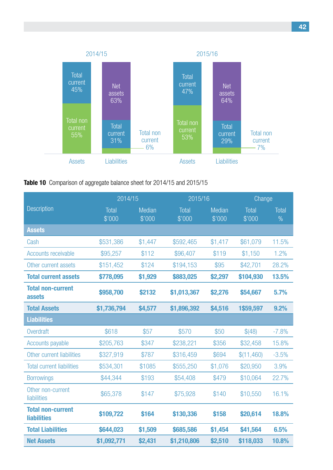

#### **Table 10** Comparison of aggregate balance sheet for 2014/15 and 2015/15

|                                                | 2014/15         |                  | 2015/16         |                         | Change          |                        |
|------------------------------------------------|-----------------|------------------|-----------------|-------------------------|-----------------|------------------------|
| <b>Description</b>                             | Total<br>\$'000 | Median<br>\$'000 | Total<br>\$'000 | <b>Median</b><br>\$'000 | Total<br>\$'000 | Total<br>$\frac{0}{0}$ |
| <b>Assets</b>                                  |                 |                  |                 |                         |                 |                        |
| Cash                                           | \$531,386       | \$1,447          | \$592,465       | \$1,417                 | \$61,079        | 11.5%                  |
| <b>Accounts receivable</b>                     | \$95,257        | \$112            | \$96,407        | \$119                   | \$1,150         | 1.2%                   |
| Other current assets                           | \$151,452       | \$124            | \$194,153       | \$95                    | \$42,701        | 28.2%                  |
| <b>Total current assets</b>                    | \$778,095       | \$1,929          | \$883,025       | \$2,297                 | \$104,930       | 13.5%                  |
| <b>Total non-current</b><br>assets             | \$958,700       | \$2132           | \$1,013,367     | \$2,276                 | \$54,667        | 5.7%                   |
| <b>Total Assets</b>                            | \$1,736,794     | \$4,577          | \$1,896,392     | \$4,516                 | 1\$59,597       | 9.2%                   |
| <b>Liabilities</b>                             |                 |                  |                 |                         |                 |                        |
| Overdraft                                      | \$618           | \$57             | \$570           | \$50                    | \$(48)          | $-7.8%$                |
| <b>Accounts payable</b>                        | \$205,763       | \$347            | \$238,221       | \$356                   | \$32,458        | 15.8%                  |
| Other current liabilities                      | \$327,919       | \$787            | \$316,459       | \$694                   | \$(11, 460)     | $-3.5%$                |
| <b>Total current liabilities</b>               | \$534,301       | \$1085           | \$555,250       | \$1,076                 | \$20,950        | 3.9%                   |
| <b>Borrowings</b>                              | \$44,344        | \$193            | \$54,408        | \$479                   | \$10,064        | 22.7%                  |
| Other non-current<br>liabilities               | \$65,378        | \$147            | \$75,928        | \$140                   | \$10,550        | 16.1%                  |
| <b>Total non-current</b><br><b>liabilities</b> | \$109,722       | \$164            | \$130,336       | \$158                   | \$20,614        | 18.8%                  |
| <b>Total Liabilities</b>                       | \$644,023       | \$1,509          | \$685,586       | \$1,454                 | \$41,564        | 6.5%                   |
| <b>Net Assets</b>                              | \$1,092,771     | \$2,431          | \$1,210,806     | \$2,510                 | \$118,033       | 10.8%                  |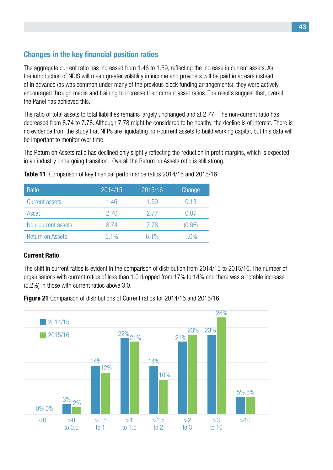## **Changes in the key financial position ratios**

The aggregate current ratio has increased from 1.46 to 1.59, reflecting the increase in current assets. As the introduction of NDIS will mean greater volatility in income and providers will be paid in arrears instead of in advance (as was common under many of the previous block funding arrangements), they were actively encouraged through media and training to increase their current asset ratios. The results suggest that, overall, the Panel has achieved this.

The ratio of total assets to total liabilities remains largely unchanged and at 2.77. The non-current ratio has decreased from 8.74 to 7.78. Although 7.78 might be considered to be healthy, the decline is of interest. There is no evidence from the study that NFPs are liquidating non-current assets to build working capital, but this data will be important to monitor over time.

The Return on Assets ratio has declined only slightly reflecting the reduction in profit margins, which is expected in an industry undergoing transition. Overall the Return on Assets ratio is still strong.

| Ratio                   | 2014/15 | 2015/16 | Change  |
|-------------------------|---------|---------|---------|
| <b>Current assets</b>   | 1.46    | 1.59    | 0.13    |
| Asset                   | 2.70    | 2.77    | 0.07    |
| Non-current assets      | 8.74    | 7.78    | (0.96)  |
| <b>Return on Assets</b> | $5.1\%$ | $6.1\%$ | $1.0\%$ |

**Table 11** Comparison of key financial performance ratios 2014/15 and 2015/16

#### **Current Ratio**

The shift in current ratios is evident in the comparison of distribution from 2014/15 to 2015/16. The number of organisations with current ratios of less than 1.0 dropped from 17% to 14% and there was a notable increase (5.2%) in those with current ratios above 3.0.

**Figure 21** Comparison of distributions of Current ratios for 2014/15 and 2015/16

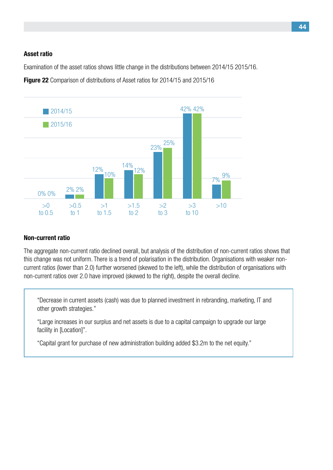#### **Asset ratio**

Examination of the asset ratios shows little change in the distributions between 2014/15 2015/16.

**Figure 22** Comparison of distributions of Asset ratios for 2014/15 and 2015/16



#### **Non-current ratio**

The aggregate non-current ratio declined overall, but analysis of the distribution of non-current ratios shows that this change was not uniform. There is a trend of polarisation in the distribution. Organisations with weaker noncurrent ratios (lower than 2.0) further worsened (skewed to the left), while the distribution of organisations with non-current ratios over 2.0 have improved (skewed to the right), despite the overall decline.

"Decrease in current assets (cash) was due to planned investment in rebranding, marketing, IT and other growth strategies."

"Large increases in our surplus and net assets is due to a capital campaign to upgrade our large facility in [Location]".

"Capital grant for purchase of new administration building added \$3.2m to the net equity."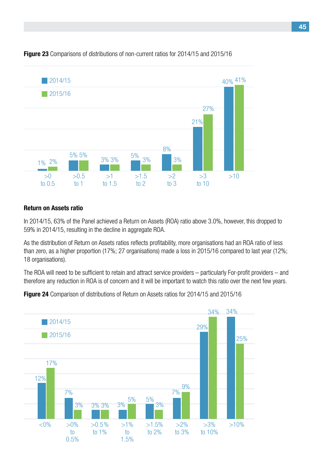

#### **Figure 23** Comparisons of distributions of non-current ratios for 2014/15 and 2015/16

#### **Return on Assets ratio**

In 2014/15, 63% of the Panel achieved a Return on Assets (ROA) ratio above 3.0%, however, this dropped to 59% in 2014/15, resulting in the decline in aggregate ROA.

As the distribution of Return on Assets ratios reflects profitability, more organisations had an ROA ratio of less than zero, as a higher proportion (17%; 27 organisations) made a loss in 2015/16 compared to last year (12%; 18 organisations).

The ROA will need to be sufficient to retain and attract service providers – particularly For-profit providers – and therefore any reduction in ROA is of concern and it will be important to watch this ratio over the next few years.

**Figure 24** Comparison of distributions of Return on Assets ratios for 2014/15 and 2015/16

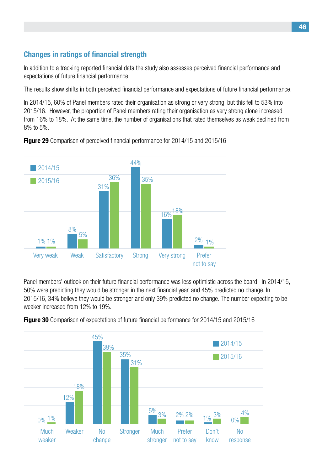## **Changes in ratings of financial strength**

In addition to a tracking reported financial data the study also assesses perceived financial performance and expectations of future financial performance.

The results show shifts in both perceived financial performance and expectations of future financial performance.

In 2014/15, 60% of Panel members rated their organisation as strong or very strong, but this fell to 53% into 2015/16. However, the proportion of Panel members rating their organisation as very strong alone increased from 16% to 18%. At the same time, the number of organisations that rated themselves as weak declined from 8% to 5%.



**Figure 29** Comparison of perceived financial performance for 2014/15 and 2015/16

Panel members' outlook on their future financial performance was less optimistic across the board. In 2014/15, 50% were predicting they would be stronger in the next financial year, and 45% predicted no change. In 2015/16, 34% believe they would be stronger and only 39% predicted no change. The number expecting to be weaker increased from 12% to 19%.



**Figure 30** Comparison of expectations of future financial performance for 2014/15 and 2015/16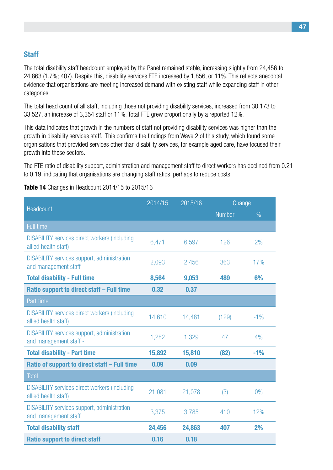#### **Staff**

The total disability staff headcount employed by the Panel remained stable, increasing slightly from 24,456 to 24,863 (1.7%; 407). Despite this, disability services FTE increased by 1,856, or 11%. This reflects anecdotal evidence that organisations are meeting increased demand with existing staff while expanding staff in other categories.

The total head count of all staff, including those not providing disability services, increased from 30,173 to 33,527, an increase of 3,354 staff or 11%. Total FTE grew proportionally by a reported 12%.

This data indicates that growth in the numbers of staff not providing disability services was higher than the growth in disability services staff. This confirms the findings from Wave 2 of this study, which found some organisations that provided services other than disability services, for example aged care, have focused their growth into these sectors.

The FTE ratio of disability support, administration and management staff to direct workers has declined from 0.21 to 0.19, indicating that organisations are changing staff ratios, perhaps to reduce costs.

|                                                                              | 2014/15 | 2015/16 | Change        |       |
|------------------------------------------------------------------------------|---------|---------|---------------|-------|
| Headcount                                                                    |         |         | <b>Number</b> | $\%$  |
| <b>Full time</b>                                                             |         |         |               |       |
| <b>DISABILITY services direct workers (including</b><br>allied health staff) | 6,471   | 6,597   | 126           | 2%    |
| <b>DISABILITY services support, administration</b><br>and management staff   | 2,093   | 2,456   | 363           | 17%   |
| <b>Total disability - Full time</b>                                          | 8,564   | 9,053   | 489           | 6%    |
| Ratio support to direct staff - Full time                                    | 0.32    | 0.37    |               |       |
| Part time                                                                    |         |         |               |       |
| <b>DISABILITY services direct workers (including</b><br>allied health staff) | 14,610  | 14,481  | (129)         | $-1%$ |
| <b>DISABILITY services support, administration</b><br>and management staff - | 1,282   | 1,329   | 47            | 4%    |
| <b>Total disability - Part time</b>                                          | 15,892  | 15,810  | (82)          | $-1%$ |
| Ratio of support to direct staff - Full time                                 | 0.09    | 0.09    |               |       |
| <b>Total</b>                                                                 |         |         |               |       |
| <b>DISABILITY services direct workers (including</b><br>allied health staff) | 21,081  | 21,078  | (3)           | 0%    |
| <b>DISABILITY services support, administration</b><br>and management staff   | 3,375   | 3,785   | 410           | 12%   |
| <b>Total disability staff</b>                                                | 24,456  | 24,863  | 407           | 2%    |
| <b>Ratio support to direct staff</b>                                         | 0.16    | 0.18    |               |       |

**Table 14** Changes in Headcount 2014/15 to 2015/16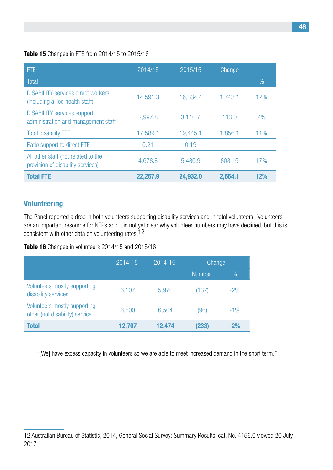#### **Table 15** Changes in FTE from 2014/15 to 2015/16

| <b>FTE</b>                                                                   | 2014/15  | 2015/15  | Change  |      |
|------------------------------------------------------------------------------|----------|----------|---------|------|
| Total                                                                        |          |          |         | $\%$ |
| <b>DISABILITY services direct workers</b><br>(including allied health staff) | 14,591.3 | 16,334.4 | 1,743.1 | 12%  |
| <b>DISABILITY services support,</b><br>administration and management staff   | 2,997.8  | 3,110.7  | 113.0   | 4%   |
| <b>Total disability FTE</b>                                                  | 17,589.1 | 19,445.1 | 1,856.1 | 11%  |
| Ratio support to direct FTE                                                  | 0.21     | 0.19     |         |      |
| All other staff (not related to the<br>provision of disability services)     | 4,678.8  | 5,486.9  | 808.15  | 17%  |
| <b>Total FTE</b>                                                             | 22,267.9 | 24,932.0 | 2,664.1 | 12%  |

## **Volunteering**

The Panel reported a drop in both volunteers supporting disability services and in total volunteers. Volunteers are an important resource for NFPs and it is not yet clear why volunteer numbers may have declined, but this is consistent with other data on volunteering rates.<sup>12</sup>

#### **Table 16** Changes in volunteers 2014/15 and 2015/16

|                                                                | 2014-15 | 2014-15 | Change        |               |
|----------------------------------------------------------------|---------|---------|---------------|---------------|
|                                                                |         |         | <b>Number</b> | $\frac{0}{0}$ |
| Volunteers mostly supporting<br>disability services            | 6,107   | 5,970   | (137)         | $-2%$         |
| Volunteers mostly supporting<br>other (not disability) service | 6,600   | 6,504   | (96)          | $-1\%$        |
| <b>Total</b>                                                   | 12,707  | 12,474  | (233)         | $-2%$         |

"[We] have excess capacity in volunteers so we are able to meet increased demand in the short term."

<sup>12</sup> Australian Bureau of Statistic, 2014, General Social Survey: Summary Results, cat. No. 4159.0 viewed 20 July 2017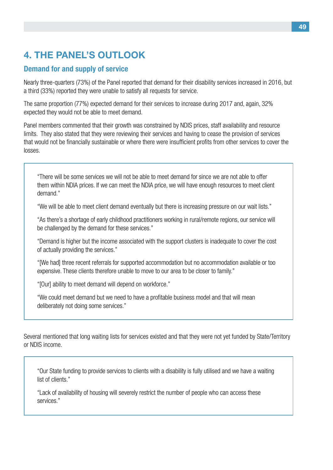## **4. The Panel's Outlook**

## **Demand for and supply of service**

Nearly three-quarters (73%) of the Panel reported that demand for their disability services increased in 2016, but a third (33%) reported they were unable to satisfy all requests for service.

The same proportion (77%) expected demand for their services to increase during 2017 and, again, 32% expected they would not be able to meet demand.

Panel members commented that their growth was constrained by NDIS prices, staff availability and resource limits. They also stated that they were reviewing their services and having to cease the provision of services that would not be financially sustainable or where there were insufficient profits from other services to cover the losses.

"There will be some services we will not be able to meet demand for since we are not able to offer them within NDIA prices. If we can meet the NDIA price, we will have enough resources to meet client demand."

"We will be able to meet client demand eventually but there is increasing pressure on our wait lists."

"As there's a shortage of early childhood practitioners working in rural/remote regions, our service will be challenged by the demand for these services."

"Demand is higher but the income associated with the support clusters is inadequate to cover the cost of actually providing the services."

"[We had] three recent referrals for supported accommodation but no accommodation available or too expensive. These clients therefore unable to move to our area to be closer to family."

"[Our] ability to meet demand will depend on workforce."

"We could meet demand but we need to have a profitable business model and that will mean deliberately not doing some services."

Several mentioned that long waiting lists for services existed and that they were not yet funded by State/Territory or NDIS income.

"Our State funding to provide services to clients with a disability is fully utilised and we have a waiting list of clients."

"Lack of availability of housing will severely restrict the number of people who can access these services."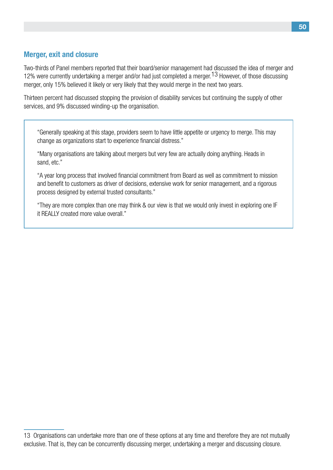### **Merger, exit and closure**

Two-thirds of Panel members reported that their board/senior management had discussed the idea of merger and 12% were currently undertaking a merger and/or had just completed a merger.13 However, of those discussing merger, only 15% believed it likely or very likely that they would merge in the next two years.

Thirteen percent had discussed stopping the provision of disability services but continuing the supply of other services, and 9% discussed winding-up the organisation.

"Generally speaking at this stage, providers seem to have little appetite or urgency to merge. This may change as organizations start to experience financial distress."

"Many organisations are talking about mergers but very few are actually doing anything. Heads in sand, etc."

"A year long process that involved financial commitment from Board as well as commitment to mission and benefit to customers as driver of decisions, extensive work for senior management, and a rigorous process designed by external trusted consultants."

"They are more complex than one may think & our view is that we would only invest in exploring one IF it REALLY created more value overall."

<sup>13</sup> Organisations can undertake more than one of these options at any time and therefore they are not mutually exclusive. That is, they can be concurrently discussing merger, undertaking a merger and discussing closure.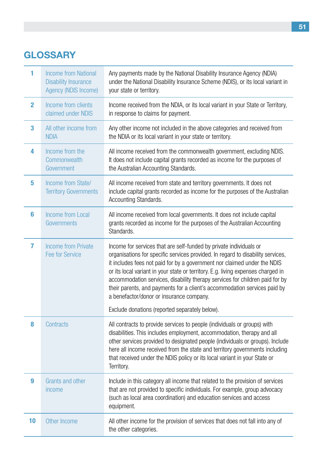## **Glossary**

| 1              | <b>Income from National</b><br><b>Disability Insurance</b><br>Agency (NDIS Income) | Any payments made by the National Disability Insurance Agency (NDIA)<br>under the National Disability Insurance Scheme (NDIS), or its local variant in<br>your state or territory.                                                                                                                                                                                                                                                                                                                                             |
|----------------|------------------------------------------------------------------------------------|--------------------------------------------------------------------------------------------------------------------------------------------------------------------------------------------------------------------------------------------------------------------------------------------------------------------------------------------------------------------------------------------------------------------------------------------------------------------------------------------------------------------------------|
| $\mathbf{2}$   | Income from clients<br>claimed under NDIS                                          | Income received from the NDIA, or its local variant in your State or Territory,<br>in response to claims for payment.                                                                                                                                                                                                                                                                                                                                                                                                          |
| 3              | All other income from<br><b>NDIA</b>                                               | Any other income not included in the above categories and received from<br>the NDIA or its local variant in your state or territory.                                                                                                                                                                                                                                                                                                                                                                                           |
| 4              | Income from the<br>Commonwealth<br>Government                                      | All income received from the commonwealth government, excluding NDIS.<br>It does not include capital grants recorded as income for the purposes of<br>the Australian Accounting Standards.                                                                                                                                                                                                                                                                                                                                     |
| 5              | Income from State/<br><b>Territory Governments</b>                                 | All income received from state and territory governments. It does not<br>include capital grants recorded as income for the purposes of the Australian<br>Accounting Standards.                                                                                                                                                                                                                                                                                                                                                 |
| 6              | <b>Income from Local</b><br>Governments                                            | All income received from local governments. It does not include capital<br>grants recorded as income for the purposes of the Australian Accounting<br>Standards.                                                                                                                                                                                                                                                                                                                                                               |
| $\overline{7}$ | <b>Income from Private</b><br><b>Fee for Service</b>                               | Income for services that are self-funded by private individuals or<br>organisations for specific services provided. In regard to disability services,<br>it includes fees not paid for by a government nor claimed under the NDIS<br>or its local variant in your state or territory. E.g. living expenses charged in<br>accommodation services, disability therapy services for children paid for by<br>their parents, and payments for a client's accommodation services paid by<br>a benefactor/donor or insurance company. |
|                |                                                                                    | Exclude donations (reported separately below).                                                                                                                                                                                                                                                                                                                                                                                                                                                                                 |
| 8              | Contracts                                                                          | All contracts to provide services to people (individuals or groups) with<br>disabilities. This includes employment, accommodation, therapy and all<br>other services provided to designated people (individuals or groups). Include<br>here all income received from the state and territory governments including<br>that received under the NDIS policy or its local variant in your State or<br>Territory.                                                                                                                  |
| 9              | Grants and other<br>income                                                         | Include in this category all income that related to the provision of services<br>that are not provided to specific individuals. For example, group advocacy<br>(such as local area coordination) and education services and access<br>equipment.                                                                                                                                                                                                                                                                               |
| 10             | Other Income                                                                       | All other income for the provision of services that does not fall into any of<br>the other categories.                                                                                                                                                                                                                                                                                                                                                                                                                         |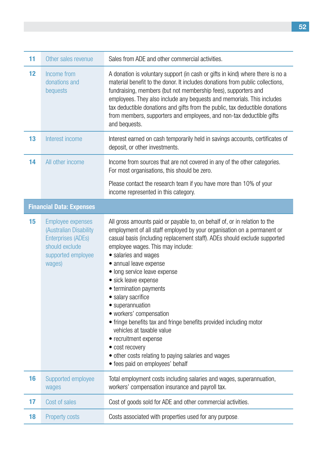| 11 | Other sales revenue                                                                                                        | Sales from ADE and other commercial activities.                                                                                                                                                                                                                                                                                                                                                                                                                                                                                                                                                                                                                                                                           |
|----|----------------------------------------------------------------------------------------------------------------------------|---------------------------------------------------------------------------------------------------------------------------------------------------------------------------------------------------------------------------------------------------------------------------------------------------------------------------------------------------------------------------------------------------------------------------------------------------------------------------------------------------------------------------------------------------------------------------------------------------------------------------------------------------------------------------------------------------------------------------|
| 12 | Income from<br>donations and<br>bequests                                                                                   | A donation is voluntary support (in cash or gifts in kind) where there is no a<br>material benefit to the donor. It includes donations from public collections,<br>fundraising, members (but not membership fees), supporters and<br>employees. They also include any bequests and memorials. This includes<br>tax deductible donations and gifts from the public, tax deductible donations<br>from members, supporters and employees, and non-tax deductible gifts<br>and bequests.                                                                                                                                                                                                                                      |
| 13 | Interest income                                                                                                            | Interest earned on cash temporarily held in savings accounts, certificates of<br>deposit, or other investments.                                                                                                                                                                                                                                                                                                                                                                                                                                                                                                                                                                                                           |
| 14 | All other income                                                                                                           | Income from sources that are not covered in any of the other categories.<br>For most organisations, this should be zero.                                                                                                                                                                                                                                                                                                                                                                                                                                                                                                                                                                                                  |
|    |                                                                                                                            | Please contact the research team if you have more than 10% of your<br>income represented in this category.                                                                                                                                                                                                                                                                                                                                                                                                                                                                                                                                                                                                                |
|    | <b>Financial Data: Expenses</b>                                                                                            |                                                                                                                                                                                                                                                                                                                                                                                                                                                                                                                                                                                                                                                                                                                           |
| 15 | Employee expenses<br>(Australian Disability<br><b>Enterprises (ADEs)</b><br>should exclude<br>supported employee<br>wages) | All gross amounts paid or payable to, on behalf of, or in relation to the<br>employment of all staff employed by your organisation on a permanent or<br>casual basis (including replacement staff). ADEs should exclude supported<br>employee wages. This may include:<br>• salaries and wages<br>• annual leave expense<br>• long service leave expense<br>• sick leave expense<br>• termination payments<br>• salary sacrifice<br>• superannuation<br>· workers' compensation<br>• fringe benefits tax and fringe benefits provided including motor<br>vehicles at taxable value<br>• recruitment expense<br>• cost recovery<br>• other costs relating to paying salaries and wages<br>• fees paid on employees' behalf |
| 16 | Supported employee<br>wages                                                                                                | Total employment costs including salaries and wages, superannuation,<br>workers' compensation insurance and payroll tax.                                                                                                                                                                                                                                                                                                                                                                                                                                                                                                                                                                                                  |
| 17 | Cost of sales                                                                                                              | Cost of goods sold for ADE and other commercial activities.                                                                                                                                                                                                                                                                                                                                                                                                                                                                                                                                                                                                                                                               |
| 18 | <b>Property costs</b>                                                                                                      | Costs associated with properties used for any purpose.                                                                                                                                                                                                                                                                                                                                                                                                                                                                                                                                                                                                                                                                    |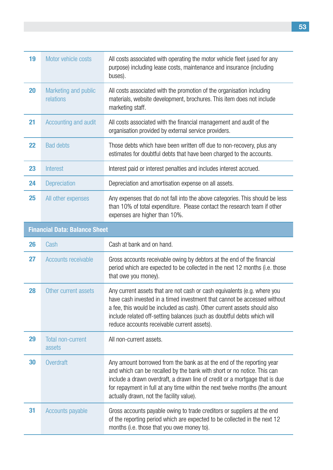| 19 | Motor vehicle costs                  | All costs associated with operating the motor vehicle fleet (used for any<br>purpose) including lease costs, maintenance and insurance (including<br>buses).                                                                                                                                                                                               |  |  |
|----|--------------------------------------|------------------------------------------------------------------------------------------------------------------------------------------------------------------------------------------------------------------------------------------------------------------------------------------------------------------------------------------------------------|--|--|
| 20 | Marketing and public<br>relations    | All costs associated with the promotion of the organisation including<br>materials, website development, brochures. This item does not include<br>marketing staff.                                                                                                                                                                                         |  |  |
| 21 | Accounting and audit                 | All costs associated with the financial management and audit of the<br>organisation provided by external service providers.                                                                                                                                                                                                                                |  |  |
| 22 | <b>Bad debts</b>                     | Those debts which have been written off due to non-recovery, plus any<br>estimates for doubtful debts that have been charged to the accounts.                                                                                                                                                                                                              |  |  |
| 23 | Interest                             | Interest paid or interest penalties and includes interest accrued.                                                                                                                                                                                                                                                                                         |  |  |
| 24 | Depreciation                         | Depreciation and amortisation expense on all assets.                                                                                                                                                                                                                                                                                                       |  |  |
| 25 | All other expenses                   | Any expenses that do not fall into the above categories. This should be less<br>than 10% of total expenditure. Please contact the research team if other<br>expenses are higher than 10%.                                                                                                                                                                  |  |  |
|    | <b>Financial Data: Balance Sheet</b> |                                                                                                                                                                                                                                                                                                                                                            |  |  |
| 26 | Cash                                 | Cash at bank and on hand.                                                                                                                                                                                                                                                                                                                                  |  |  |
| 27 | Accounts receivable                  | Gross accounts receivable owing by debtors at the end of the financial<br>period which are expected to be collected in the next 12 months (i.e. those<br>that owe you money).                                                                                                                                                                              |  |  |
| 28 | Other current assets                 | Any current assets that are not cash or cash equivalents (e.g. where you<br>have cash invested in a timed investment that cannot be accessed without<br>a fee, this would be included as cash). Other current assets should also<br>include related off-setting balances (such as doubtful debts which will<br>reduce accounts receivable current assets). |  |  |
| 29 | <b>Total non-current</b><br>assets   | All non-current assets.                                                                                                                                                                                                                                                                                                                                    |  |  |
| 30 | Overdraft                            | Any amount borrowed from the bank as at the end of the reporting year<br>and which can be recalled by the bank with short or no notice. This can<br>include a drawn overdraft, a drawn line of credit or a mortgage that is due<br>for repayment in full at any time within the next twelve months (the amount<br>actually drawn, not the facility value). |  |  |
| 31 | <b>Accounts payable</b>              | Gross accounts payable owing to trade creditors or suppliers at the end<br>of the reporting period which are expected to be collected in the next 12<br>months (i.e. those that you owe money to).                                                                                                                                                         |  |  |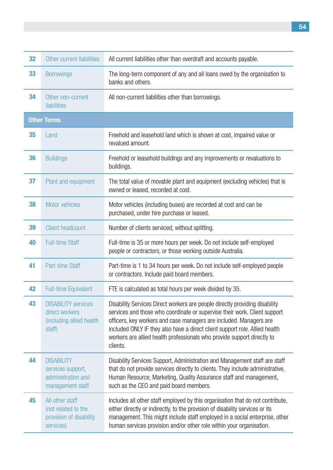| 32 | Other current liabilities                                                          | All current liabilities other than overdraft and accounts payable.                                                                                                                                                                                                                                                                                                                                   |
|----|------------------------------------------------------------------------------------|------------------------------------------------------------------------------------------------------------------------------------------------------------------------------------------------------------------------------------------------------------------------------------------------------------------------------------------------------------------------------------------------------|
| 33 | <b>Borrowings</b>                                                                  | The long-term component of any and all loans owed by the organisation to<br>banks and others.                                                                                                                                                                                                                                                                                                        |
| 34 | Other non-current<br>liabilities                                                   | All non-current liabilities other than borrowings.                                                                                                                                                                                                                                                                                                                                                   |
|    | <b>Other Terms</b>                                                                 |                                                                                                                                                                                                                                                                                                                                                                                                      |
| 35 | Land                                                                               | Freehold and leasehold land which is shown at cost, impaired value or<br>revalued amount.                                                                                                                                                                                                                                                                                                            |
| 36 | <b>Buildings</b>                                                                   | Freehold or leasehold buildings and any improvements or revaluations to<br>buildings.                                                                                                                                                                                                                                                                                                                |
| 37 | Plant and equipment                                                                | The total value of movable plant and equipment (excluding vehicles) that is<br>owned or leased, recorded at cost.                                                                                                                                                                                                                                                                                    |
| 38 | Motor vehicles                                                                     | Motor vehicles (including buses) are recorded at cost and can be<br>purchased, under hire purchase or leased.                                                                                                                                                                                                                                                                                        |
| 39 | <b>Client headcount</b>                                                            | Number of clients serviced, without splitting.                                                                                                                                                                                                                                                                                                                                                       |
| 40 | <b>Full-time Staff</b>                                                             | Full-time is 35 or more hours per week. Do not include self-employed<br>people or contractors, or those working outside Australia.                                                                                                                                                                                                                                                                   |
| 41 | <b>Part-time Staff</b>                                                             | Part-time is 1 to 34 hours per week. Do not include self-employed people<br>or contractors. Include paid board members.                                                                                                                                                                                                                                                                              |
| 42 | <b>Full-time Equivalent</b>                                                        | FTE is calculated as total hours per week divided by 35.                                                                                                                                                                                                                                                                                                                                             |
| 43 | <b>DISABILITY services</b><br>direct workers<br>(including allied health<br>staff) | Disability Services Direct workers are people directly providing disability<br>services and those who coordinate or supervise their work. Client support<br>officers, key workers and case managers are included. Managers are<br>included ONLY IF they also have a direct client support role. Allied health<br>workers are allied health professionals who provide support directly to<br>clients. |
| 44 | <b>DISABILITY</b><br>services support,<br>administration and<br>management staff   | Disability Services Support, Administration and Management staff are staff<br>that do not provide services directly to clients. They include administrative,<br>Human Resource, Marketing, Quality Assurance staff and management,<br>such as the CEO and paid board members.                                                                                                                        |
| 45 | All other staff<br>(not related to the<br>provision of disability<br>services)     | Includes all other staff employed by this organisation that do not contribute,<br>either directly or indirectly, to the provision of disability services or its<br>management. This might include staff employed in a social enterprise, other<br>human services provision and/or other role within your organisation.                                                                               |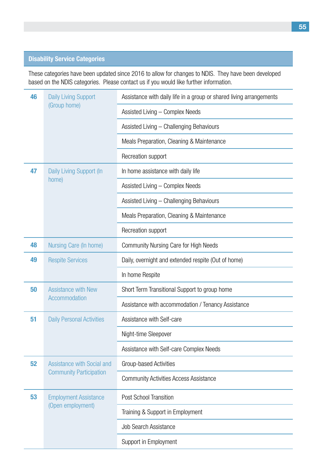#### **Disability Service Categories**

These categories have been updated since 2016 to allow for changes to NDIS. They have been developed based on the NDIS categories. Please contact us if you would like further information.

| 46 | <b>Daily Living Support</b>      | Assistance with daily life in a group or shared living arrangements |  |  |
|----|----------------------------------|---------------------------------------------------------------------|--|--|
|    | (Group home)                     | Assisted Living - Complex Needs                                     |  |  |
|    |                                  | Assisted Living - Challenging Behaviours                            |  |  |
|    |                                  | Meals Preparation, Cleaning & Maintenance                           |  |  |
|    |                                  | Recreation support                                                  |  |  |
| 47 | Daily Living Support (In         | In home assistance with daily life                                  |  |  |
|    | home)                            | Assisted Living - Complex Needs                                     |  |  |
|    |                                  | Assisted Living - Challenging Behaviours                            |  |  |
|    |                                  | Meals Preparation, Cleaning & Maintenance                           |  |  |
|    |                                  | Recreation support                                                  |  |  |
| 48 | Nursing Care (In home)           | <b>Community Nursing Care for High Needs</b>                        |  |  |
| 49 | <b>Respite Services</b>          | Daily, overnight and extended respite (Out of home)                 |  |  |
|    |                                  | In home Respite                                                     |  |  |
| 50 | <b>Assistance with New</b>       | Short Term Transitional Support to group home                       |  |  |
|    | Accommodation                    | Assistance with accommodation / Tenancy Assistance                  |  |  |
| 51 | <b>Daily Personal Activities</b> | Assistance with Self-care                                           |  |  |
|    |                                  | Night-time Sleepover                                                |  |  |
|    |                                  | Assistance with Self-care Complex Needs                             |  |  |
| 52 | Assistance with Social and       | Group-based Activities                                              |  |  |
|    | <b>Community Participation</b>   | <b>Community Activities Access Assistance</b>                       |  |  |
| 53 | <b>Employment Assistance</b>     | Post School Transition                                              |  |  |
|    | (Open employment)                | Training & Support in Employment                                    |  |  |
|    |                                  | <b>Job Search Assistance</b>                                        |  |  |
|    |                                  | Support in Employment                                               |  |  |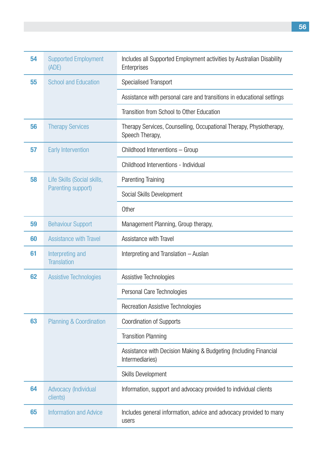| 54 | <b>Supported Employment</b><br>(ADE)   | Includes all Supported Employment activities by Australian Disability<br>Enterprises   |
|----|----------------------------------------|----------------------------------------------------------------------------------------|
| 55 | <b>School and Education</b>            | Specialised Transport                                                                  |
|    |                                        | Assistance with personal care and transitions in educational settings                  |
|    |                                        | Transition from School to Other Education                                              |
| 56 | <b>Therapy Services</b>                | Therapy Services, Counselling, Occupational Therapy, Physiotherapy,<br>Speech Therapy, |
| 57 | <b>Early Intervention</b>              | Childhood Interventions - Group                                                        |
|    |                                        | Childhood Interventions - Individual                                                   |
| 58 | Life Skills (Social skills,            | <b>Parenting Training</b>                                                              |
|    | Parenting support)                     | Social Skills Development                                                              |
|    |                                        | Other                                                                                  |
| 59 | <b>Behaviour Support</b>               | Management Planning, Group therapy,                                                    |
| 60 | <b>Assistance with Travel</b>          | Assistance with Travel                                                                 |
| 61 | Interpreting and<br><b>Translation</b> | Interpreting and Translation - Auslan                                                  |
| 62 | <b>Assistive Technologies</b>          | Assistive Technologies                                                                 |
|    |                                        | Personal Care Technologies                                                             |
|    |                                        | <b>Recreation Assistive Technologies</b>                                               |
| 63 | <b>Planning &amp; Coordination</b>     | <b>Coordination of Supports</b>                                                        |
|    |                                        | <b>Transition Planning</b>                                                             |
|    |                                        | Assistance with Decision Making & Budgeting (Including Financial<br>Intermediaries)    |
|    |                                        | <b>Skills Development</b>                                                              |
| 64 | Advocacy (Individual<br>clients)       | Information, support and advocacy provided to individual clients                       |
| 65 | <b>Information and Advice</b>          | Includes general information, advice and advocacy provided to many<br>users            |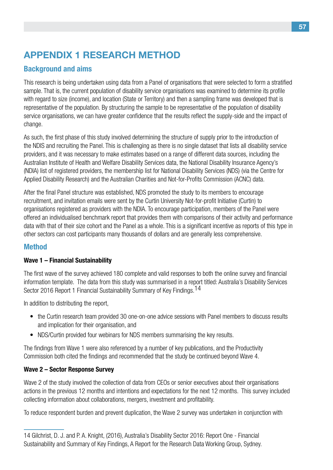## **Appendix 1 Research Method**

## **Background and aims**

This research is being undertaken using data from a Panel of organisations that were selected to form a stratified sample. That is, the current population of disability service organisations was examined to determine its profile with regard to size (income), and location (State or Territory) and then a sampling frame was developed that is representative of the population. By structuring the sample to be representative of the population of disability service organisations, we can have greater confidence that the results reflect the supply-side and the impact of change.

As such, the first phase of this study involved determining the structure of supply prior to the introduction of the NDIS and recruiting the Panel. This is challenging as there is no single dataset that lists all disability service providers, and it was necessary to make estimates based on a range of different data sources, including the Australian Institute of Health and Welfare Disability Services data, the National Disability Insurance Agency's (NDIA) list of registered providers, the membership list for National Disability Services (NDS) (via the Centre for Applied Disability Research) and the Australian Charities and Not-for-Profits Commission (ACNC) data.

After the final Panel structure was established, NDS promoted the study to its members to encourage recruitment, and invitation emails were sent by the Curtin University Not-for-profit Initiative (Curtin) to organisations registered as providers with the NDIA. To encourage participation, members of the Panel were offered an individualised benchmark report that provides them with comparisons of their activity and performance data with that of their size cohort and the Panel as a whole. This is a significant incentive as reports of this type in other sectors can cost participants many thousands of dollars and are generally less comprehensive.

## **Method**

### **Wave 1 – Financial Sustainability**

The first wave of the survey achieved 180 complete and valid responses to both the online survey and financial information template. The data from this study was summarised in a report titled: Australia's Disability Services Sector 2016 Report 1 Financial Sustainability Summary of Key Findings.<sup>14</sup>

In addition to distributing the report,

- the Curtin research team provided 30 one-on-one advice sessions with Panel members to discuss results and implication for their organisation, and
- NDS/Curtin provided four webinars for NDS members summarising the key results.

The findings from Wave 1 were also referenced by a number of key publications, and the Productivity Commission both cited the findings and recommended that the study be continued beyond Wave 4.

### **Wave 2 – Sector Response Survey**

Wave 2 of the study involved the collection of data from CEOs or senior executives about their organisations actions in the previous 12 months and intentions and expectations for the next 12 months. This survey included collecting information about collaborations, mergers, investment and profitability.

To reduce respondent burden and prevent duplication, the Wave 2 survey was undertaken in conjunction with

<sup>14</sup> Gilchrist, D. J. and P. A. Knight, (2016), Australia's Disability Sector 2016: Report One - Financial Sustainability and Summary of Key Findings, A Report for the Research Data Working Group, Sydney.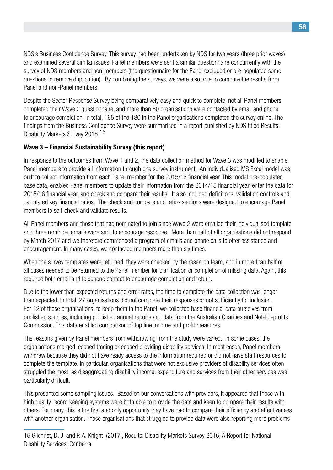NDS's Business Confidence Survey. This survey had been undertaken by NDS for two years (three prior waves) and examined several similar issues. Panel members were sent a similar questionnaire concurrently with the survey of NDS members and non-members (the questionnaire for the Panel excluded or pre-populated some questions to remove duplication). By combining the surveys, we were also able to compare the results from Panel and non-Panel members.

Despite the Sector Response Survey being comparatively easy and quick to complete, not all Panel members completed their Wave 2 questionnaire, and more than 60 organisations were contacted by email and phone to encourage completion. In total, 165 of the 180 in the Panel organisations completed the survey online. The findings from the Business Confidence Survey were summarised in a report published by NDS titled Results: Disability Markets Survey 2016.15

#### **Wave 3 – Financial Sustainability Survey (this report)**

In response to the outcomes from Wave 1 and 2, the data collection method for Wave 3 was modified to enable Panel members to provide all information through one survey instrument. An individualised MS Excel model was built to collect information from each Panel member for the 2015/16 financial year. This model pre-populated base data, enabled Panel members to update their information from the 2014/15 financial year, enter the data for 2015/16 financial year, and check and compare their results. It also included definitions, validation controls and calculated key financial ratios. The check and compare and ratios sections were designed to encourage Panel members to self-check and validate results.

All Panel members and those that had nominated to join since Wave 2 were emailed their individualised template and three reminder emails were sent to encourage response. More than half of all organisations did not respond by March 2017 and we therefore commenced a program of emails and phone calls to offer assistance and encouragement. In many cases, we contacted members more than six times.

When the survey templates were returned, they were checked by the research team, and in more than half of all cases needed to be returned to the Panel member for clarification or completion of missing data. Again, this required both email and telephone contact to encourage completion and return.

Due to the lower than expected returns and error rates, the time to complete the data collection was longer than expected. In total, 27 organisations did not complete their responses or not sufficiently for inclusion. For 12 of those organisations, to keep them in the Panel, we collected base financial data ourselves from published sources, including published annual reports and data from the Australian Charities and Not-for-profits Commission. This data enabled comparison of top line income and profit measures.

The reasons given by Panel members from withdrawing from the study were varied. In some cases, the organisations merged, ceased trading or ceased providing disability services. In most cases, Panel members withdrew because they did not have ready access to the information required or did not have staff resources to complete the template. In particular, organisations that were not exclusive providers of disability services often struggled the most, as disaggregating disability income, expenditure and services from their other services was particularly difficult.

This presented some sampling issues. Based on our conversations with providers, it appeared that those with high quality record keeping systems were both able to provide the data and keen to compare their results with others. For many, this is the first and only opportunity they have had to compare their efficiency and effectiveness with another organisation. Those organisations that struggled to provide data were also reporting more problems

<sup>15</sup> Gilchrist, D. J. and P. A. Knight, (2017), Results: Disability Markets Survey 2016, A Report for National Disability Services, Canberra.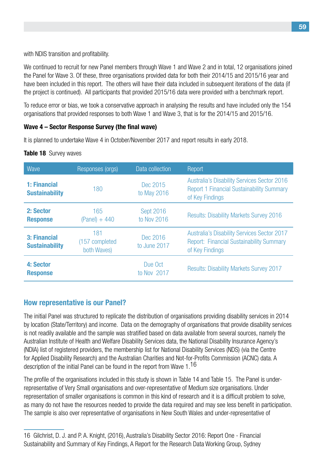with NDIS transition and profitability.

We continued to recruit for new Panel members through Wave 1 and Wave 2 and in total, 12 organisations joined the Panel for Wave 3. Of these, three organisations provided data for both their 2014/15 and 2015/16 year and have been included in this report. The others will have their data included in subsequent iterations of the data (if the project is continued). All participants that provided 2015/16 data were provided with a benchmark report.

To reduce error or bias, we took a conservative approach in analysing the results and have included only the 154 organisations that provided responses to both Wave 1 and Wave 3, that is for the 2014/15 and 2015/16.

#### **Wave 4 – Sector Response Survey (the final wave)**

It is planned to undertake Wave 4 in October/November 2017 and report results in early 2018.

#### **Table 18** Survey waves

| Wave                                  | Responses (orgs)                     | Data collection                 | Report                                                                                                                    |
|---------------------------------------|--------------------------------------|---------------------------------|---------------------------------------------------------------------------------------------------------------------------|
| 1: Financial<br><b>Sustainability</b> | 180                                  | Dec 2015<br>to May 2016         | <b>Australia's Disability Services Sector 2016</b><br><b>Report 1 Financial Sustainability Summary</b><br>of Key Findings |
| 2: Sector<br><b>Response</b>          | 165<br>$(Panel) + 440$               | <b>Sept 2016</b><br>to Nov 2016 | <b>Results: Disability Markets Survey 2016</b>                                                                            |
| 3: Financial<br><b>Sustainability</b> | 181<br>(157 completed<br>both Waves) | Dec 2016<br>to June 2017        | <b>Australia's Disability Services Sector 2017</b><br><b>Report: Financial Sustainability Summary</b><br>of Key Findings  |
| 4: Sector<br><b>Response</b>          |                                      | Due Oct<br>to Nov 2017          | <b>Results: Disability Markets Survey 2017</b>                                                                            |

## **How representative is our Panel?**

The initial Panel was structured to replicate the distribution of organisations providing disability services in 2014 by location (State/Territory) and income. Data on the demography of organisations that provide disability services is not readily available and the sample was stratified based on data available from several sources, namely the Australian Institute of Health and Welfare Disability Services data, the National Disability Insurance Agency's (NDIA) list of registered providers, the membership list for National Disability Services (NDS) (via the Centre for Applied Disability Research) and the Australian Charities and Not-for-Profits Commission (ACNC) data. A description of the initial Panel can be found in the report from Wave 1.<sup>16</sup>

The profile of the organisations included in this study is shown in Table 14 and Table 15. The Panel is underrepresentative of Very Small organisations and over-representative of Medium size organisations. Under representation of smaller organisations is common in this kind of research and it is a difficult problem to solve, as many do not have the resources needed to provide the data required and may see less benefit in participation. The sample is also over representative of organisations in New South Wales and under-representative of

<sup>16</sup> Gilchrist, D. J. and P. A. Knight, (2016), Australia's Disability Sector 2016: Report One - Financial Sustainability and Summary of Key Findings, A Report for the Research Data Working Group, Sydney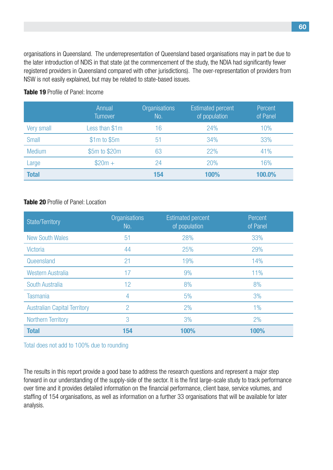organisations in Queensland. The underrepresentation of Queensland based organisations may in part be due to the later introduction of NDIS in that state (at the commencement of the study, the NDIA had significantly fewer registered providers in Queensland compared with other jurisdictions). The over-representation of providers from NSW is not easily explained, but may be related to state-based issues.

|               | Annual<br><b>Turnover</b> | <b>Organisations</b><br>No. | <b>Estimated percent</b><br>of population | Percent<br>of Panel |
|---------------|---------------------------|-----------------------------|-------------------------------------------|---------------------|
| Very small    | Less than \$1m            | 16                          | 24%                                       | 10%                 |
| <b>Small</b>  | $$1m$$ to $$5m$$          | 51                          | 34%                                       | 33%                 |
| <b>Medium</b> | \$5m to \$20m             | 63                          | 22%                                       | 41%                 |
| Large         | $$20m +$                  | 24                          | 20%                                       | 16%                 |
| <b>Total</b>  |                           | 154                         | 100%                                      | 100.0%              |

#### **Table 19** Profile of Panel: Income

#### **Table 20** Profile of Panel: Location

| State/Territory                     | Organisations<br>No. | <b>Estimated percent</b><br>of population | Percent<br>of Panel |
|-------------------------------------|----------------------|-------------------------------------------|---------------------|
| <b>New South Wales</b>              | 51                   | 28%                                       | 33%                 |
| <b>Victoria</b>                     | 44                   | 25%                                       | 29%                 |
| Queensland                          | 21                   | 19%                                       | 14%                 |
| <b>Western Australia</b>            | 17                   | 9%                                        | 11%                 |
| South Australia                     | 12                   | 8%                                        | 8%                  |
| <b>Tasmania</b>                     | 4                    | 5%                                        | 3%                  |
| <b>Australian Capital Territory</b> | $\overline{2}$       | 2%                                        | $1\%$               |
| <b>Northern Territory</b>           | 3                    | 3%                                        | 2%                  |
| <b>Total</b>                        | 154                  | 100%                                      | 100%                |

Total does not add to 100% due to rounding

The results in this report provide a good base to address the research questions and represent a major step forward in our understanding of the supply-side of the sector. It is the first large-scale study to track performance over time and it provides detailed information on the financial performance, client base, service volumes, and staffing of 154 organisations, as well as information on a further 33 organisations that will be available for later analysis.